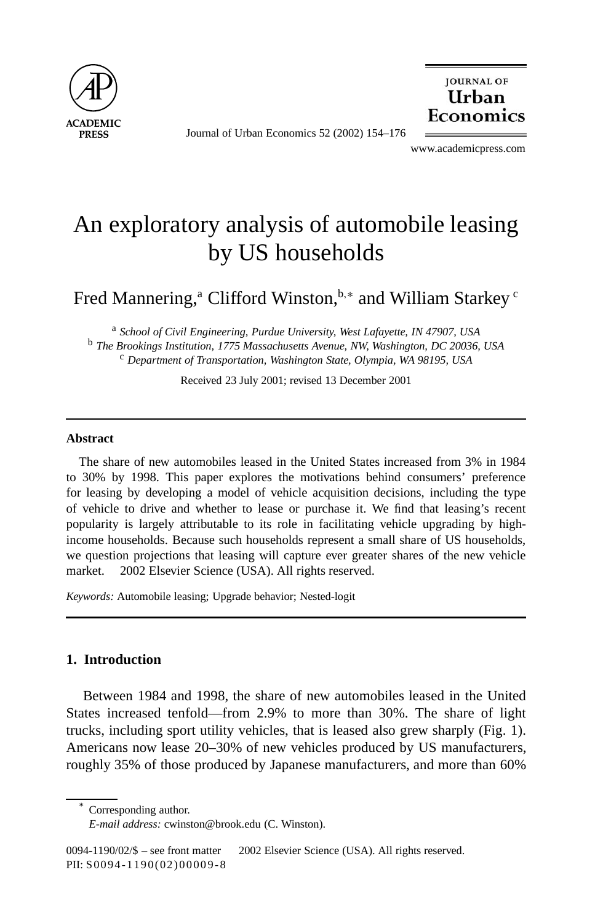

Journal of Urban Economics 52 (2002) 154–176

**JOURNAL OF** Urban Economics

www.academicpress.com

# An exploratory analysis of automobile leasing by US households

Fred Mannering,<sup>a</sup> Clifford Winston,<sup>b,∗</sup> and William Starkey<sup>c</sup>

<sup>a</sup> *School of Civil Engineering, Purdue University, West Lafayette, IN 47907, USA* <sup>b</sup> *The Brookings Institution, 1775 Massachusetts Avenue, NW, Washington, DC 20036, USA* <sup>c</sup> *Department of Transportation, Washington State, Olympia, WA 98195, USA*

Received 23 July 2001; revised 13 December 2001

#### **Abstract**

The share of new automobiles leased in the United States increased from 3% in 1984 to 30% by 1998. This paper explores the motivations behind consumers' preference for leasing by developing a model of vehicle acquisition decisions, including the type of vehicle to drive and whether to lease or purchase it. We find that leasing's recent popularity is largely attributable to its role in facilitating vehicle upgrading by highincome households. Because such households represent a small share of US households, we question projections that leasing will capture ever greater shares of the new vehicle market.  $\odot$  2002 Elsevier Science (USA). All rights reserved.

*Keywords:* Automobile leasing; Upgrade behavior; Nested-logit

## **1. Introduction**

Between 1984 and 1998, the share of new automobiles leased in the United States increased tenfold—from 2.9% to more than 30%. The share of light trucks, including sport utility vehicles, that is leased also grew sharply (Fig. 1). Americans now lease 20–30% of new vehicles produced by US manufacturers, roughly 35% of those produced by Japanese manufacturers, and more than 60%

Corresponding author.

*E-mail address:* cwinston@brook.edu (C. Winston).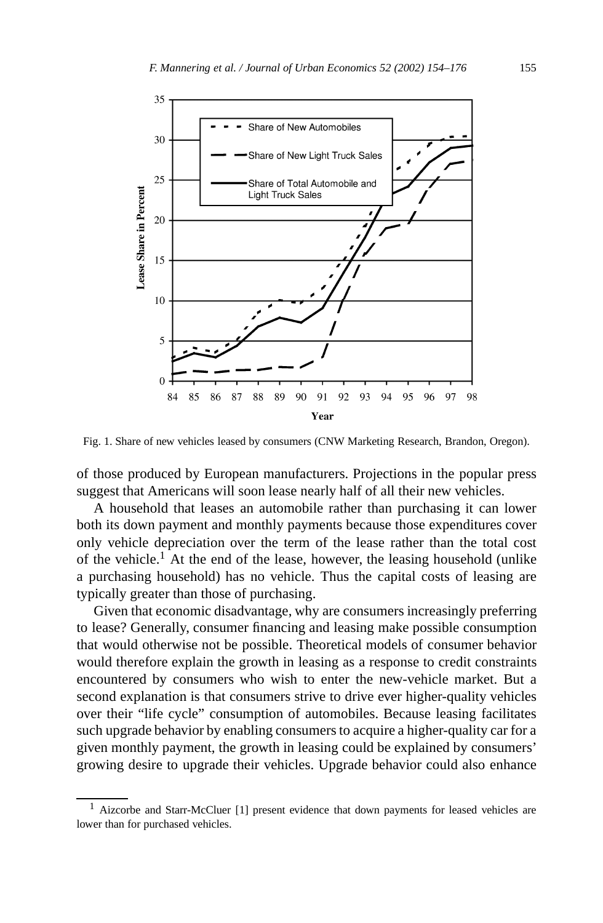

Fig. 1. Share of new vehicles leased by consumers (CNW Marketing Research, Brandon, Oregon).

of those produced by European manufacturers. Projections in the popular press suggest that Americans will soon lease nearly half of all their new vehicles.

A household that leases an automobile rather than purchasing it can lower both its down payment and monthly payments because those expenditures cover only vehicle depreciation over the term of the lease rather than the total cost of the vehicle.<sup>1</sup> At the end of the lease, however, the leasing household (unlike a purchasing household) has no vehicle. Thus the capital costs of leasing are typically greater than those of purchasing.

Given that economic disadvantage, why are consumers increasingly preferring to lease? Generally, consumer financing and leasing make possible consumption that would otherwise not be possible. Theoretical models of consumer behavior would therefore explain the growth in leasing as a response to credit constraints encountered by consumers who wish to enter the new-vehicle market. But a second explanation is that consumers strive to drive ever higher-quality vehicles over their "life cycle" consumption of automobiles. Because leasing facilitates such upgrade behavior by enabling consumers to acquire a higher-quality car for a given monthly payment, the growth in leasing could be explained by consumers' growing desire to upgrade their vehicles. Upgrade behavior could also enhance

Aizcorbe and Starr-McCluer [1] present evidence that down payments for leased vehicles are lower than for purchased vehicles.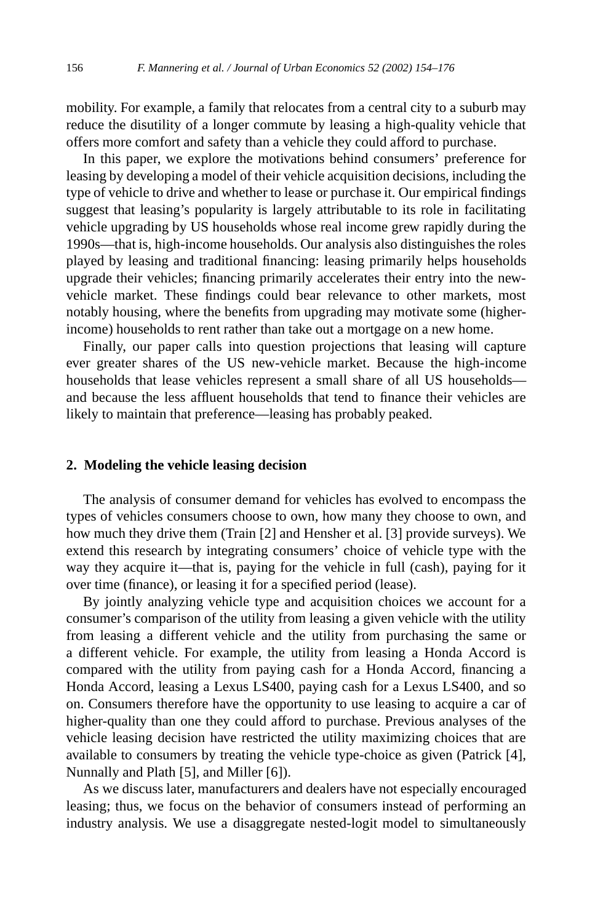mobility. For example, a family that relocates from a central city to a suburb may reduce the disutility of a longer commute by leasing a high-quality vehicle that offers more comfort and safety than a vehicle they could afford to purchase.

In this paper, we explore the motivations behind consumers' preference for leasing by developing a model of their vehicle acquisition decisions, including the type of vehicle to drive and whether to lease or purchase it. Our empirical findings suggest that leasing's popularity is largely attributable to its role in facilitating vehicle upgrading by US households whose real income grew rapidly during the 1990s—that is, high-income households. Our analysis also distinguishes the roles played by leasing and traditional financing: leasing primarily helps households upgrade their vehicles; financing primarily accelerates their entry into the newvehicle market. These findings could bear relevance to other markets, most notably housing, where the benefits from upgrading may motivate some (higherincome) households to rent rather than take out a mortgage on a new home.

Finally, our paper calls into question projections that leasing will capture ever greater shares of the US new-vehicle market. Because the high-income households that lease vehicles represent a small share of all US households and because the less affluent households that tend to finance their vehicles are likely to maintain that preference—leasing has probably peaked.

#### **2. Modeling the vehicle leasing decision**

The analysis of consumer demand for vehicles has evolved to encompass the types of vehicles consumers choose to own, how many they choose to own, and how much they drive them (Train [2] and Hensher et al. [3] provide surveys). We extend this research by integrating consumers' choice of vehicle type with the way they acquire it—that is, paying for the vehicle in full (cash), paying for it over time (finance), or leasing it for a specified period (lease).

By jointly analyzing vehicle type and acquisition choices we account for a consumer's comparison of the utility from leasing a given vehicle with the utility from leasing a different vehicle and the utility from purchasing the same or a different vehicle. For example, the utility from leasing a Honda Accord is compared with the utility from paying cash for a Honda Accord, financing a Honda Accord, leasing a Lexus LS400, paying cash for a Lexus LS400, and so on. Consumers therefore have the opportunity to use leasing to acquire a car of higher-quality than one they could afford to purchase. Previous analyses of the vehicle leasing decision have restricted the utility maximizing choices that are available to consumers by treating the vehicle type-choice as given (Patrick [4], Nunnally and Plath [5], and Miller [6]).

As we discuss later, manufacturers and dealers have not especially encouraged leasing; thus, we focus on the behavior of consumers instead of performing an industry analysis. We use a disaggregate nested-logit model to simultaneously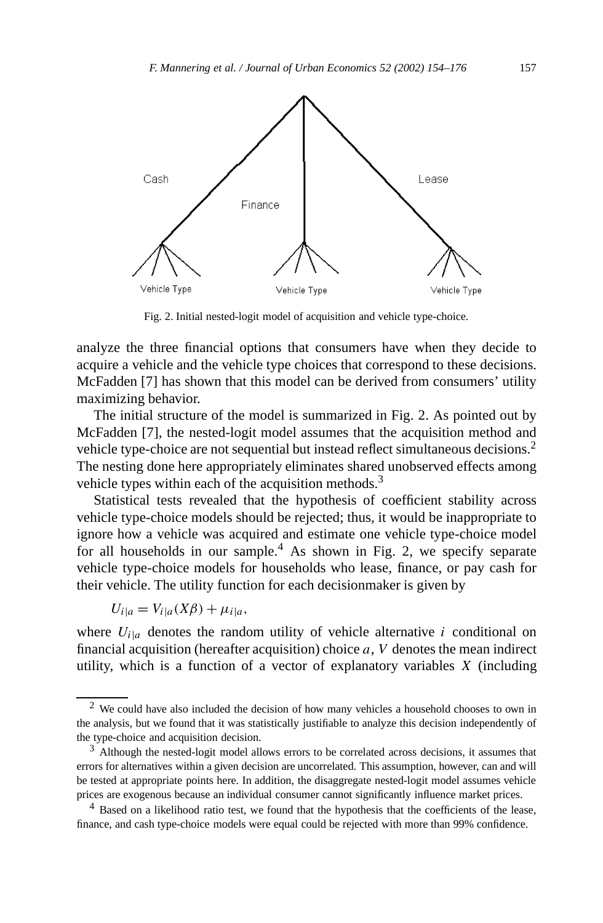

Fig. 2. Initial nested-logit model of acquisition and vehicle type-choice.

analyze the three financial options that consumers have when they decide to acquire a vehicle and the vehicle type choices that correspond to these decisions. McFadden [7] has shown that this model can be derived from consumers' utility maximizing behavior.

The initial structure of the model is summarized in Fig. 2. As pointed out by McFadden [7], the nested-logit model assumes that the acquisition method and vehicle type-choice are not sequential but instead reflect simultaneous decisions.<sup>2</sup> The nesting done here appropriately eliminates shared unobserved effects among vehicle types within each of the acquisition methods.<sup>3</sup>

Statistical tests revealed that the hypothesis of coefficient stability across vehicle type-choice models should be rejected; thus, it would be inappropriate to ignore how a vehicle was acquired and estimate one vehicle type-choice model for all households in our sample.<sup>4</sup> As shown in Fig. 2, we specify separate vehicle type-choice models for households who lease, finance, or pay cash for their vehicle. The utility function for each decisionmaker is given by

$$
U_{i|a} = V_{i|a}(X\beta) + \mu_{i|a},
$$

where  $U_{i|a}$  denotes the random utility of vehicle alternative *i* conditional on financial acquisition (hereafter acquisition) choice *a*, *V* denotes the mean indirect utility, which is a function of a vector of explanatory variables *X* (including

<sup>2</sup> We could have also included the decision of how many vehicles a household chooses to own in the analysis, but we found that it was statistically justifiable to analyze this decision independently of the type-choice and acquisition decision.

<sup>3</sup> Although the nested-logit model allows errors to be correlated across decisions, it assumes that errors for alternatives within a given decision are uncorrelated. This assumption, however, can and will be tested at appropriate points here. In addition, the disaggregate nested-logit model assumes vehicle prices are exogenous because an individual consumer cannot significantly influence market prices.

<sup>&</sup>lt;sup>4</sup> Based on a likelihood ratio test, we found that the hypothesis that the coefficients of the lease, finance, and cash type-choice models were equal could be rejected with more than 99% confidence.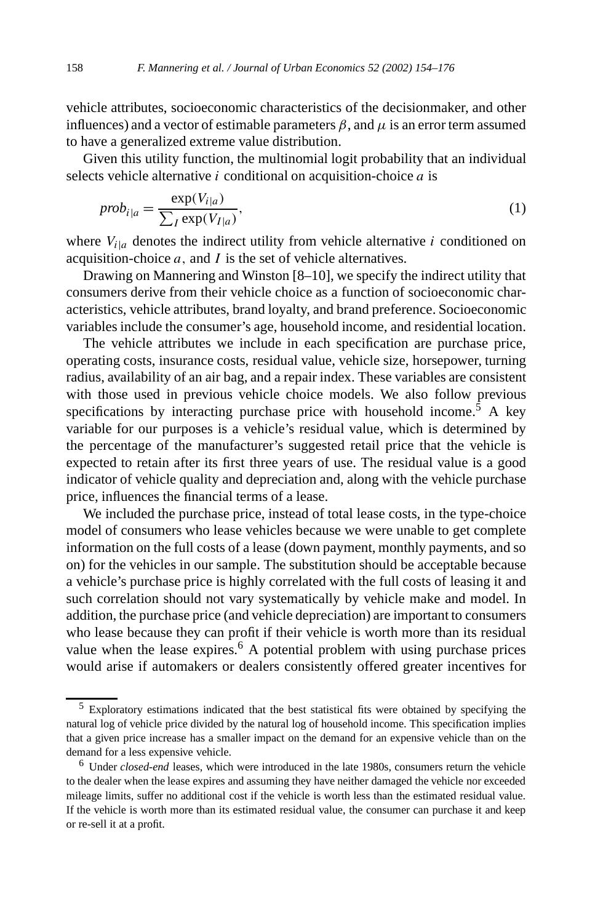vehicle attributes, socioeconomic characteristics of the decisionmaker, and other influences) and a vector of estimable parameters  $\beta$ , and  $\mu$  is an error term assumed to have a generalized extreme value distribution.

Given this utility function, the multinomial logit probability that an individual selects vehicle alternative *i* conditional on acquisition-choice *a* is

$$
prob_{i|a} = \frac{\exp(V_{i|a})}{\sum_{I} \exp(V_{I|a})},\tag{1}
$$

where  $V_{i|a}$  denotes the indirect utility from vehicle alternative *i* conditioned on acquisition-choice *a,* and *I* is the set of vehicle alternatives.

Drawing on Mannering and Winston [8–10], we specify the indirect utility that consumers derive from their vehicle choice as a function of socioeconomic characteristics, vehicle attributes, brand loyalty, and brand preference. Socioeconomic variables include the consumer's age, household income, and residential location.

The vehicle attributes we include in each specification are purchase price, operating costs, insurance costs, residual value, vehicle size, horsepower, turning radius, availability of an air bag, and a repair index. These variables are consistent with those used in previous vehicle choice models. We also follow previous specifications by interacting purchase price with household income.<sup>5</sup> A key variable for our purposes is a vehicle's residual value, which is determined by the percentage of the manufacturer's suggested retail price that the vehicle is expected to retain after its first three years of use. The residual value is a good indicator of vehicle quality and depreciation and, along with the vehicle purchase price, influences the financial terms of a lease.

We included the purchase price, instead of total lease costs, in the type-choice model of consumers who lease vehicles because we were unable to get complete information on the full costs of a lease (down payment, monthly payments, and so on) for the vehicles in our sample. The substitution should be acceptable because a vehicle's purchase price is highly correlated with the full costs of leasing it and such correlation should not vary systematically by vehicle make and model. In addition, the purchase price (and vehicle depreciation) are important to consumers who lease because they can profit if their vehicle is worth more than its residual value when the lease expires.<sup>6</sup> A potential problem with using purchase prices would arise if automakers or dealers consistently offered greater incentives for

<sup>5</sup> Exploratory estimations indicated that the best statistical fits were obtained by specifying the natural log of vehicle price divided by the natural log of household income. This specification implies that a given price increase has a smaller impact on the demand for an expensive vehicle than on the demand for a less expensive vehicle.

<sup>6</sup> Under *closed-end* leases, which were introduced in the late 1980s, consumers return the vehicle to the dealer when the lease expires and assuming they have neither damaged the vehicle nor exceeded mileage limits, suffer no additional cost if the vehicle is worth less than the estimated residual value. If the vehicle is worth more than its estimated residual value, the consumer can purchase it and keep or re-sell it at a profit.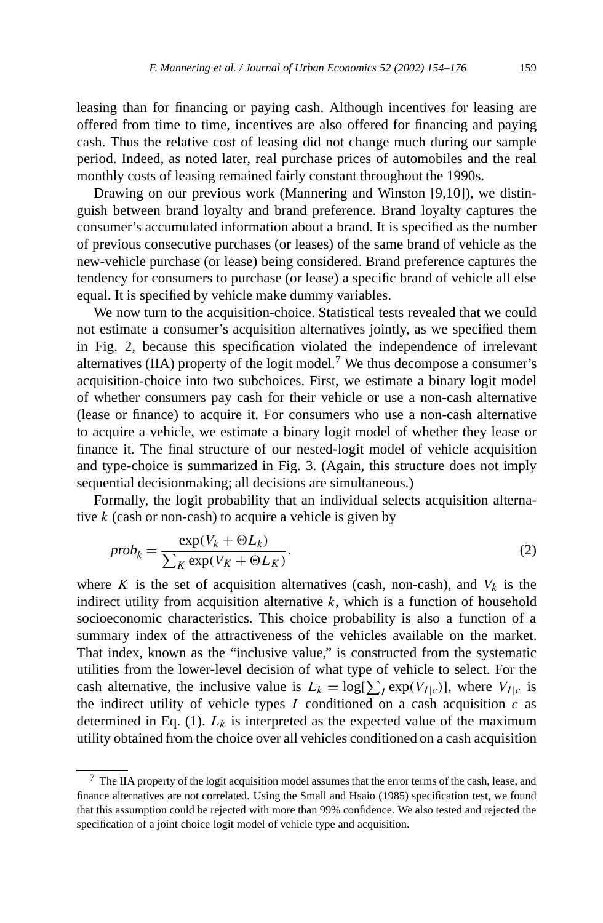leasing than for financing or paying cash. Although incentives for leasing are offered from time to time, incentives are also offered for financing and paying cash. Thus the relative cost of leasing did not change much during our sample period. Indeed, as noted later, real purchase prices of automobiles and the real monthly costs of leasing remained fairly constant throughout the 1990s.

Drawing on our previous work (Mannering and Winston [9,10]), we distinguish between brand loyalty and brand preference. Brand loyalty captures the consumer's accumulated information about a brand. It is specified as the number of previous consecutive purchases (or leases) of the same brand of vehicle as the new-vehicle purchase (or lease) being considered. Brand preference captures the tendency for consumers to purchase (or lease) a specific brand of vehicle all else equal. It is specified by vehicle make dummy variables.

We now turn to the acquisition-choice. Statistical tests revealed that we could not estimate a consumer's acquisition alternatives jointly, as we specified them in Fig. 2, because this specification violated the independence of irrelevant alternatives (IIA) property of the logit model.<sup>7</sup> We thus decompose a consumer's acquisition-choice into two subchoices. First, we estimate a binary logit model of whether consumers pay cash for their vehicle or use a non-cash alternative (lease or finance) to acquire it. For consumers who use a non-cash alternative to acquire a vehicle, we estimate a binary logit model of whether they lease or finance it. The final structure of our nested-logit model of vehicle acquisition and type-choice is summarized in Fig. 3. (Again, this structure does not imply sequential decisionmaking; all decisions are simultaneous.)

Formally, the logit probability that an individual selects acquisition alternative *k* (cash or non-cash) to acquire a vehicle is given by

$$
prob_k = \frac{\exp(V_k + \Theta L_k)}{\sum_K \exp(V_K + \Theta L_K)},
$$
\n(2)

where *K* is the set of acquisition alternatives (cash, non-cash), and  $V_k$  is the indirect utility from acquisition alternative  $k$ , which is a function of household socioeconomic characteristics. This choice probability is also a function of a summary index of the attractiveness of the vehicles available on the market. That index, known as the "inclusive value," is constructed from the systematic utilities from the lower-level decision of what type of vehicle to select. For the cash alternative, the inclusive value is  $L_k = \log[\sum_l \exp(V_{I|c})]$ , where  $V_{I|c}$  is the indirect utility of vehicle types  $I$  conditioned on a cash acquisition  $c$  as determined in Eq. (1).  $L_k$  is interpreted as the expected value of the maximum utility obtained from the choice over all vehicles conditioned on a cash acquisition

<sup>7</sup> The IIA property of the logit acquisition model assumes that the error terms of the cash, lease, and finance alternatives are not correlated. Using the Small and Hsaio (1985) specification test, we found that this assumption could be rejected with more than 99% confidence. We also tested and rejected the specification of a joint choice logit model of vehicle type and acquisition.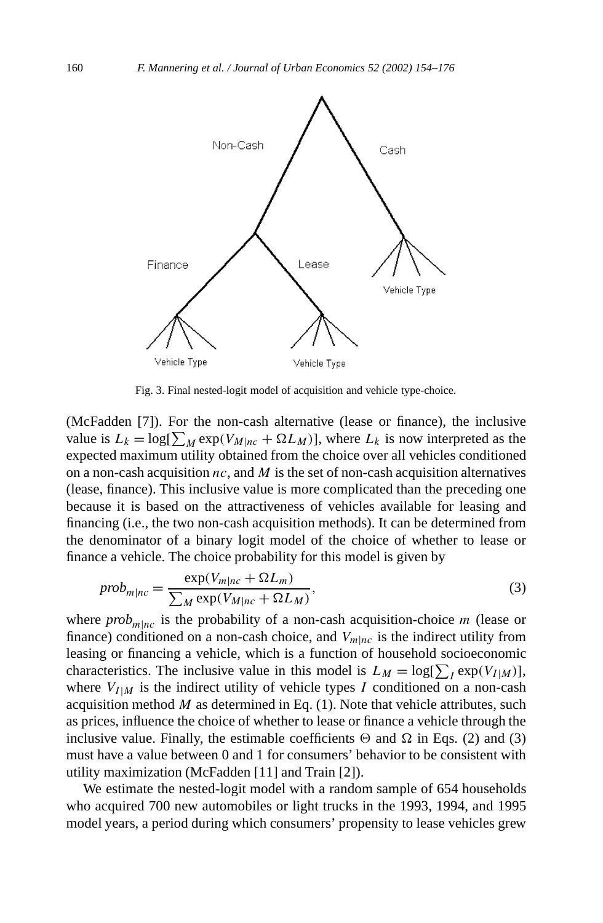

Fig. 3. Final nested-logit model of acquisition and vehicle type-choice.

(McFadden [7]). For the non-cash alternative (lease or finance), the inclusive value is  $L_k = \log[\sum_M \exp(V_{M|nc} + \Omega L_M)]$ , where  $L_k$  is now interpreted as the expected maximum utility obtained from the choice over all vehicles conditioned on a non-cash acquisition *nc*, and *M* is the set of non-cash acquisition alternatives (lease, finance). This inclusive value is more complicated than the preceding one because it is based on the attractiveness of vehicles available for leasing and financing (i.e., the two non-cash acquisition methods). It can be determined from the denominator of a binary logit model of the choice of whether to lease or finance a vehicle. The choice probability for this model is given by

$$
prob_{m|nc} = \frac{\exp(V_{m|nc} + \Omega L_m)}{\sum_M \exp(V_{M|nc} + \Omega L_M)},
$$
\n(3)

where  $prob_{m|nc}$  is the probability of a non-cash acquisition-choice *m* (lease or finance) conditioned on a non-cash choice, and  $V_{m|nc}$  is the indirect utility from leasing or financing a vehicle, which is a function of household socioeconomic characteristics. The inclusive value in this model is  $L_M = \log[\sum_l \exp(V_{I|M})]$ , where  $V_{I|M}$  is the indirect utility of vehicle types *I* conditioned on a non-cash acquisition method *M* as determined in Eq. (1). Note that vehicle attributes, such as prices, influence the choice of whether to lease or finance a vehicle through the inclusive value. Finally, the estimable coefficients  $\Theta$  and  $\Omega$  in Eqs. (2) and (3) must have a value between 0 and 1 for consumers' behavior to be consistent with utility maximization (McFadden [11] and Train [2]).

We estimate the nested-logit model with a random sample of 654 households who acquired 700 new automobiles or light trucks in the 1993, 1994, and 1995 model years, a period during which consumers' propensity to lease vehicles grew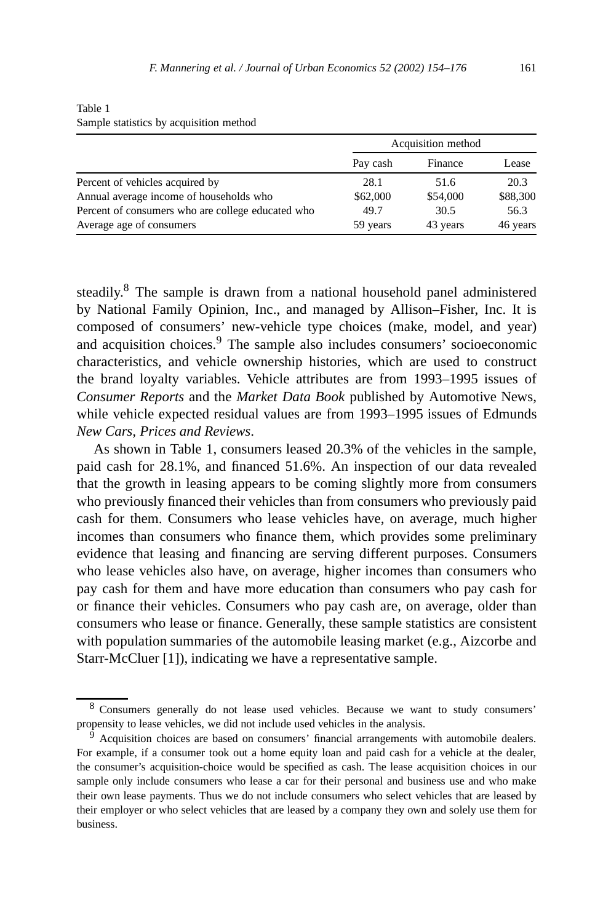|                                                   | Acquisition method |          |          |
|---------------------------------------------------|--------------------|----------|----------|
|                                                   | Pay cash           | Finance  | Lease    |
| Percent of vehicles acquired by                   | 28.1               | 51.6     | 20.3     |
| Annual average income of households who           | \$62,000           | \$54,000 | \$88,300 |
| Percent of consumers who are college educated who | 49.7               | 30.5     | 56.3     |
| Average age of consumers                          | 59 years           | 43 years | 46 years |

Table 1 Sample statistics by acquisition method

steadily.<sup>8</sup> The sample is drawn from a national household panel administered by National Family Opinion, Inc., and managed by Allison–Fisher, Inc. It is composed of consumers' new-vehicle type choices (make, model, and year) and acquisition choices.<sup>9</sup> The sample also includes consumers' socioeconomic characteristics, and vehicle ownership histories, which are used to construct the brand loyalty variables. Vehicle attributes are from 1993–1995 issues of *Consumer Reports* and the *Market Data Book* published by Automotive News, while vehicle expected residual values are from 1993–1995 issues of Edmunds *New Cars, Prices and Reviews*.

As shown in Table 1, consumers leased 20.3% of the vehicles in the sample, paid cash for 28.1%, and financed 51.6%. An inspection of our data revealed that the growth in leasing appears to be coming slightly more from consumers who previously financed their vehicles than from consumers who previously paid cash for them. Consumers who lease vehicles have, on average, much higher incomes than consumers who finance them, which provides some preliminary evidence that leasing and financing are serving different purposes. Consumers who lease vehicles also have, on average, higher incomes than consumers who pay cash for them and have more education than consumers who pay cash for or finance their vehicles. Consumers who pay cash are, on average, older than consumers who lease or finance. Generally, these sample statistics are consistent with population summaries of the automobile leasing market (e.g., Aizcorbe and Starr-McCluer [1]), indicating we have a representative sample.

<sup>8</sup> Consumers generally do not lease used vehicles. Because we want to study consumers' propensity to lease vehicles, we did not include used vehicles in the analysis.

<sup>&</sup>lt;sup>9</sup> Acquisition choices are based on consumers' financial arrangements with automobile dealers. For example, if a consumer took out a home equity loan and paid cash for a vehicle at the dealer, the consumer's acquisition-choice would be specified as cash. The lease acquisition choices in our sample only include consumers who lease a car for their personal and business use and who make their own lease payments. Thus we do not include consumers who select vehicles that are leased by their employer or who select vehicles that are leased by a company they own and solely use them for business.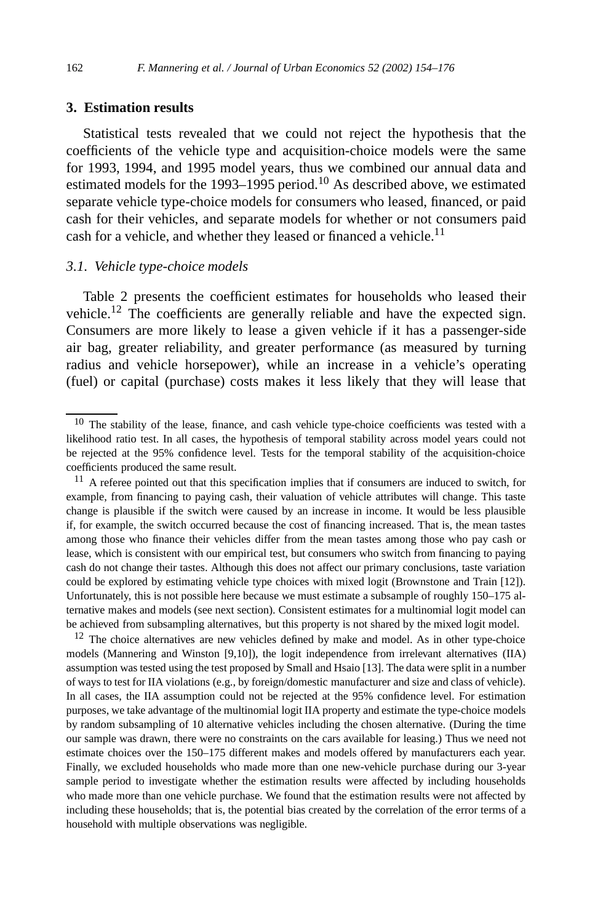#### **3. Estimation results**

Statistical tests revealed that we could not reject the hypothesis that the coefficients of the vehicle type and acquisition-choice models were the same for 1993, 1994, and 1995 model years, thus we combined our annual data and estimated models for the 1993–1995 period.<sup>10</sup> As described above, we estimated separate vehicle type-choice models for consumers who leased, financed, or paid cash for their vehicles, and separate models for whether or not consumers paid cash for a vehicle, and whether they leased or financed a vehicle.<sup>11</sup>

#### *3.1. Vehicle type-choice models*

Table 2 presents the coefficient estimates for households who leased their vehicle.<sup>12</sup> The coefficients are generally reliable and have the expected sign. Consumers are more likely to lease a given vehicle if it has a passenger-side air bag, greater reliability, and greater performance (as measured by turning radius and vehicle horsepower), while an increase in a vehicle's operating (fuel) or capital (purchase) costs makes it less likely that they will lease that

 $12$  The choice alternatives are new vehicles defined by make and model. As in other type-choice models (Mannering and Winston [9,10]), the logit independence from irrelevant alternatives (IIA) assumption was tested using the test proposed by Small and Hsaio [13]. The data were split in a number of ways to test for IIA violations (e.g., by foreign/domestic manufacturer and size and class of vehicle). In all cases, the IIA assumption could not be rejected at the 95% confidence level. For estimation purposes, we take advantage of the multinomial logit IIA property and estimate the type-choice models by random subsampling of 10 alternative vehicles including the chosen alternative. (During the time our sample was drawn, there were no constraints on the cars available for leasing.) Thus we need not estimate choices over the 150–175 different makes and models offered by manufacturers each year. Finally, we excluded households who made more than one new-vehicle purchase during our 3-year sample period to investigate whether the estimation results were affected by including households who made more than one vehicle purchase. We found that the estimation results were not affected by including these households; that is, the potential bias created by the correlation of the error terms of a household with multiple observations was negligible.

 $10$  The stability of the lease, finance, and cash vehicle type-choice coefficients was tested with a likelihood ratio test. In all cases, the hypothesis of temporal stability across model years could not be rejected at the 95% confidence level. Tests for the temporal stability of the acquisition-choice coefficients produced the same result.

 $11$  A referee pointed out that this specification implies that if consumers are induced to switch, for example, from financing to paying cash, their valuation of vehicle attributes will change. This taste change is plausible if the switch were caused by an increase in income. It would be less plausible if, for example, the switch occurred because the cost of financing increased. That is, the mean tastes among those who finance their vehicles differ from the mean tastes among those who pay cash or lease, which is consistent with our empirical test, but consumers who switch from financing to paying cash do not change their tastes. Although this does not affect our primary conclusions, taste variation could be explored by estimating vehicle type choices with mixed logit (Brownstone and Train [12]). Unfortunately, this is not possible here because we must estimate a subsample of roughly 150–175 alternative makes and models (see next section). Consistent estimates for a multinomial logit model can be achieved from subsampling alternatives, but this property is not shared by the mixed logit model.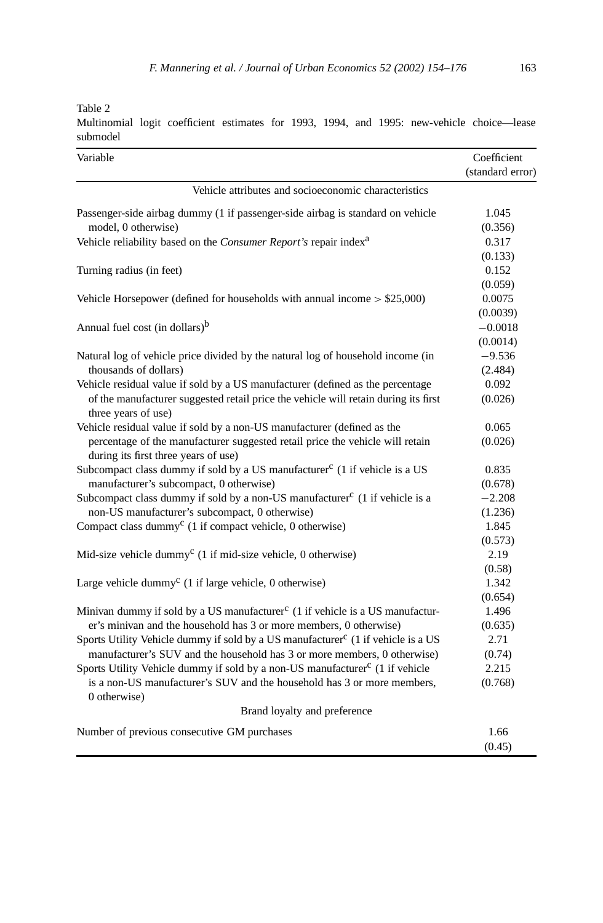Table 2

Multinomial logit coefficient estimates for 1993, 1994, and 1995: new-vehicle choice—lease submodel

| Variable                                                                                                                                                                                         | Coefficient<br>(standard error) |
|--------------------------------------------------------------------------------------------------------------------------------------------------------------------------------------------------|---------------------------------|
| Vehicle attributes and socioeconomic characteristics                                                                                                                                             |                                 |
| Passenger-side airbag dummy (1 if passenger-side airbag is standard on vehicle<br>model, 0 otherwise)                                                                                            | 1.045<br>(0.356)                |
| Vehicle reliability based on the Consumer Report's repair index <sup>a</sup>                                                                                                                     | 0.317<br>(0.133)                |
| Turning radius (in feet)                                                                                                                                                                         | 0.152<br>(0.059)                |
| Vehicle Horsepower (defined for households with annual income $>$ \$25,000)                                                                                                                      | 0.0075<br>(0.0039)              |
| Annual fuel cost (in dollars) <sup>b</sup>                                                                                                                                                       | $-0.0018$<br>(0.0014)           |
| Natural log of vehicle price divided by the natural log of household income (in<br>thousands of dollars)                                                                                         | $-9.536$<br>(2.484)             |
| Vehicle residual value if sold by a US manufacturer (defined as the percentage<br>of the manufacturer suggested retail price the vehicle will retain during its first<br>three years of use)     | 0.092<br>(0.026)                |
| Vehicle residual value if sold by a non-US manufacturer (defined as the<br>percentage of the manufacturer suggested retail price the vehicle will retain<br>during its first three years of use) | 0.065<br>(0.026)                |
| Subcompact class dummy if sold by a US manufacturer <sup>c</sup> (1 if vehicle is a US<br>manufacturer's subcompact, 0 otherwise)                                                                | 0.835<br>(0.678)                |
| Subcompact class dummy if sold by a non-US manufacturer <sup>c</sup> (1 if vehicle is a                                                                                                          | $-2.208$                        |
| non-US manufacturer's subcompact, 0 otherwise)<br>Compact class dummy <sup>c</sup> (1 if compact vehicle, 0 otherwise)                                                                           | (1.236)<br>1.845<br>(0.573)     |
| Mid-size vehicle dummy <sup>c</sup> (1 if mid-size vehicle, 0 otherwise)                                                                                                                         | 2.19<br>(0.58)                  |
| Large vehicle dummy <sup>c</sup> (1 if large vehicle, 0 otherwise)                                                                                                                               | 1.342<br>(0.654)                |
| Minivan dummy if sold by a US manufacturer <sup>c</sup> (1 if vehicle is a US manufactur-<br>er's minivan and the household has 3 or more members, 0 otherwise)                                  | 1.496<br>(0.635)                |
| Sports Utility Vehicle dummy if sold by a US manufacturer <sup>c</sup> (1 if vehicle is a US<br>manufacturer's SUV and the household has 3 or more members, 0 otherwise)                         | 2.71<br>(0.74)                  |
| Sports Utility Vehicle dummy if sold by a non-US manufacturer <sup>c</sup> (1 if vehicle<br>is a non-US manufacturer's SUV and the household has 3 or more members,<br>0 otherwise)              | 2.215<br>(0.768)                |
| Brand loyalty and preference                                                                                                                                                                     |                                 |
| Number of previous consecutive GM purchases                                                                                                                                                      | 1.66<br>(0.45)                  |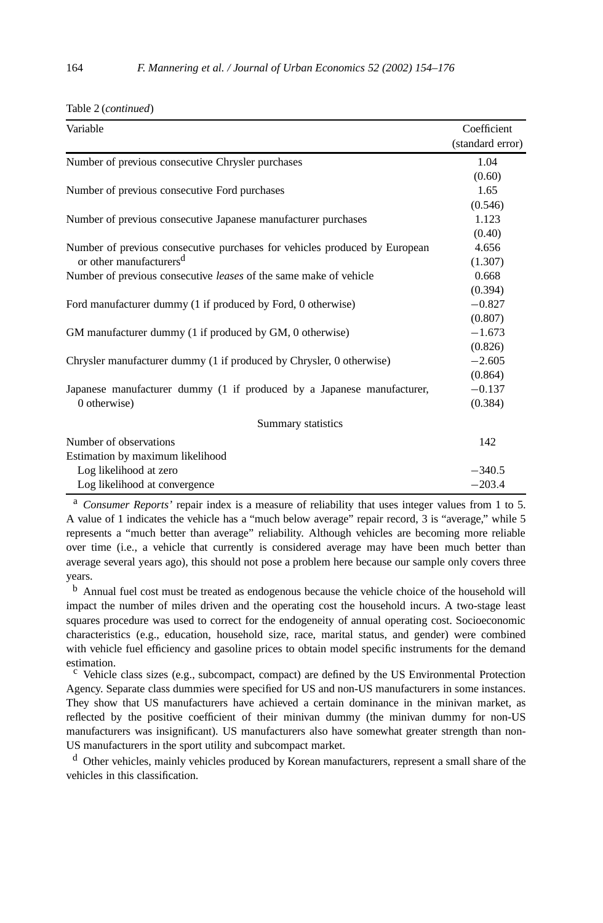|  | Table 2 ( <i>continued</i> ) |  |
|--|------------------------------|--|
|--|------------------------------|--|

| Variable                                                                   | Coefficient<br>(standard error) |
|----------------------------------------------------------------------------|---------------------------------|
| Number of previous consecutive Chrysler purchases                          | 1.04                            |
|                                                                            | (0.60)                          |
| Number of previous consecutive Ford purchases                              | 1.65                            |
|                                                                            | (0.546)                         |
| Number of previous consecutive Japanese manufacturer purchases             | 1.123                           |
|                                                                            | (0.40)                          |
| Number of previous consecutive purchases for vehicles produced by European | 4.656                           |
| or other manufacturers <sup>d</sup>                                        | (1.307)                         |
| Number of previous consecutive <i>leases</i> of the same make of vehicle   | 0.668                           |
|                                                                            | (0.394)                         |
| Ford manufacturer dummy (1 if produced by Ford, 0 otherwise)               | $-0.827$                        |
|                                                                            | (0.807)                         |
| GM manufacturer dummy (1 if produced by GM, 0 otherwise)                   | $-1.673$                        |
|                                                                            | (0.826)                         |
| Chrysler manufacturer dummy (1 if produced by Chrysler, 0 otherwise)       | $-2.605$                        |
|                                                                            | (0.864)                         |
| Japanese manufacturer dummy (1 if produced by a Japanese manufacturer,     | $-0.137$                        |
| 0 otherwise)                                                               | (0.384)                         |
| Summary statistics                                                         |                                 |
| Number of observations                                                     | 142                             |
| Estimation by maximum likelihood                                           |                                 |
| Log likelihood at zero                                                     | $-340.5$                        |
| Log likelihood at convergence                                              | $-203.4$                        |

<sup>a</sup> *Consumer Reports'* repair index is a measure of reliability that uses integer values from 1 to 5. A value of 1 indicates the vehicle has a "much below average" repair record, 3 is "average," while 5 represents a "much better than average" reliability. Although vehicles are becoming more reliable over time (i.e., a vehicle that currently is considered average may have been much better than average several years ago), this should not pose a problem here because our sample only covers three years.

<sup>b</sup> Annual fuel cost must be treated as endogenous because the vehicle choice of the household will impact the number of miles driven and the operating cost the household incurs. A two-stage least squares procedure was used to correct for the endogeneity of annual operating cost. Socioeconomic characteristics (e.g., education, household size, race, marital status, and gender) were combined with vehicle fuel efficiency and gasoline prices to obtain model specific instruments for the demand estimation.

<sup>c</sup> Vehicle class sizes (e.g., subcompact, compact) are defined by the US Environmental Protection Agency. Separate class dummies were specified for US and non-US manufacturers in some instances. They show that US manufacturers have achieved a certain dominance in the minivan market, as reflected by the positive coefficient of their minivan dummy (the minivan dummy for non-US manufacturers was insignificant). US manufacturers also have somewhat greater strength than non-US manufacturers in the sport utility and subcompact market.

<sup>d</sup> Other vehicles, mainly vehicles produced by Korean manufacturers, represent a small share of the vehicles in this classification.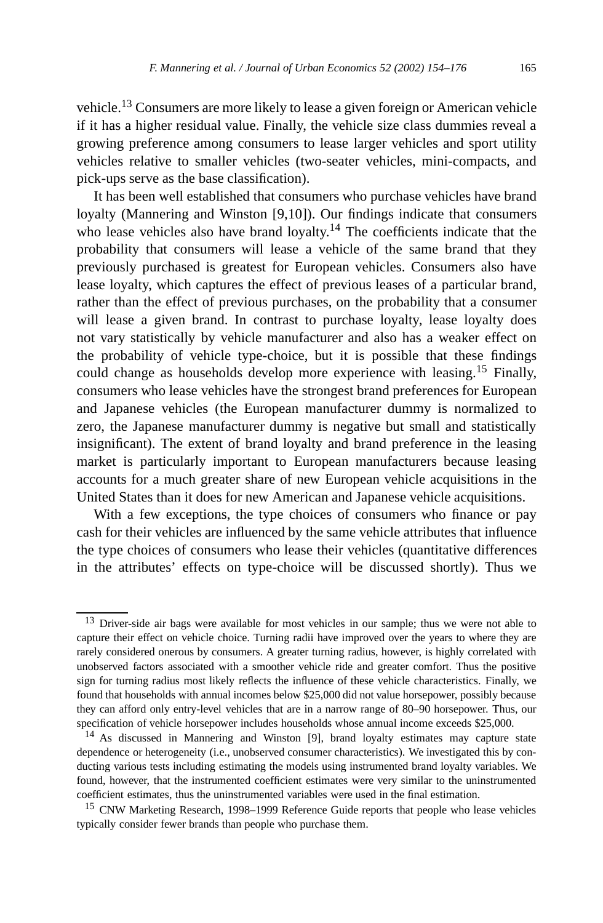vehicle.<sup>13</sup> Consumers are more likely to lease a given foreign or American vehicle if it has a higher residual value. Finally, the vehicle size class dummies reveal a growing preference among consumers to lease larger vehicles and sport utility vehicles relative to smaller vehicles (two-seater vehicles, mini-compacts, and pick-ups serve as the base classification).

It has been well established that consumers who purchase vehicles have brand loyalty (Mannering and Winston [9,10]). Our findings indicate that consumers who lease vehicles also have brand loyalty.<sup>14</sup> The coefficients indicate that the probability that consumers will lease a vehicle of the same brand that they previously purchased is greatest for European vehicles. Consumers also have lease loyalty, which captures the effect of previous leases of a particular brand, rather than the effect of previous purchases, on the probability that a consumer will lease a given brand. In contrast to purchase loyalty, lease loyalty does not vary statistically by vehicle manufacturer and also has a weaker effect on the probability of vehicle type-choice, but it is possible that these findings could change as households develop more experience with leasing.<sup>15</sup> Finally, consumers who lease vehicles have the strongest brand preferences for European and Japanese vehicles (the European manufacturer dummy is normalized to zero, the Japanese manufacturer dummy is negative but small and statistically insignificant). The extent of brand loyalty and brand preference in the leasing market is particularly important to European manufacturers because leasing accounts for a much greater share of new European vehicle acquisitions in the United States than it does for new American and Japanese vehicle acquisitions.

With a few exceptions, the type choices of consumers who finance or pay cash for their vehicles are influenced by the same vehicle attributes that influence the type choices of consumers who lease their vehicles (quantitative differences in the attributes' effects on type-choice will be discussed shortly). Thus we

<sup>&</sup>lt;sup>13</sup> Driver-side air bags were available for most vehicles in our sample; thus we were not able to capture their effect on vehicle choice. Turning radii have improved over the years to where they are rarely considered onerous by consumers. A greater turning radius, however, is highly correlated with unobserved factors associated with a smoother vehicle ride and greater comfort. Thus the positive sign for turning radius most likely reflects the influence of these vehicle characteristics. Finally, we found that households with annual incomes below \$25,000 did not value horsepower, possibly because they can afford only entry-level vehicles that are in a narrow range of 80–90 horsepower. Thus, our specification of vehicle horsepower includes households whose annual income exceeds \$25,000.

<sup>14</sup> As discussed in Mannering and Winston [9], brand loyalty estimates may capture state dependence or heterogeneity (i.e., unobserved consumer characteristics). We investigated this by conducting various tests including estimating the models using instrumented brand loyalty variables. We found, however, that the instrumented coefficient estimates were very similar to the uninstrumented coefficient estimates, thus the uninstrumented variables were used in the final estimation.

<sup>&</sup>lt;sup>15</sup> CNW Marketing Research, 1998–1999 Reference Guide reports that people who lease vehicles typically consider fewer brands than people who purchase them.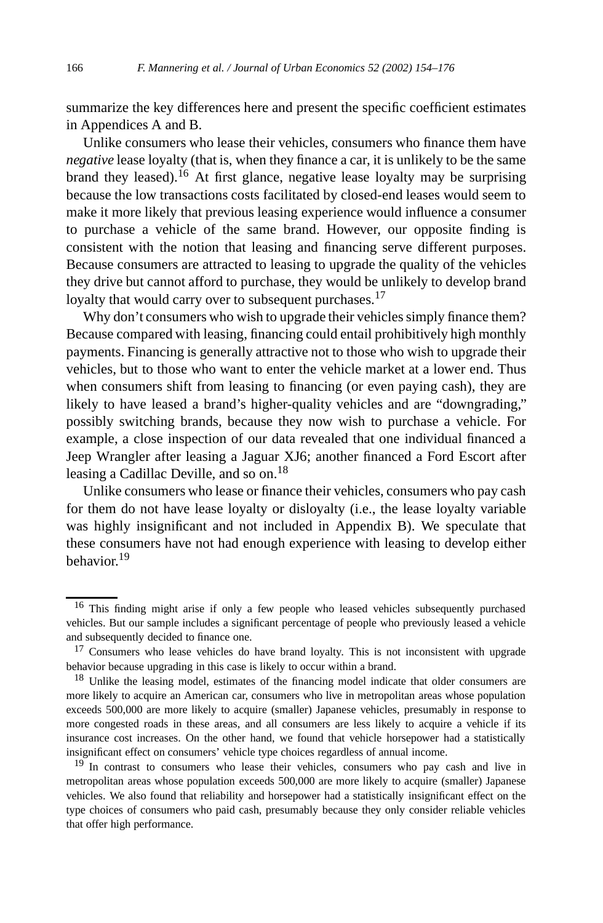summarize the key differences here and present the specific coefficient estimates in Appendices A and B.

Unlike consumers who lease their vehicles, consumers who finance them have *negative* lease loyalty (that is, when they finance a car, it is unlikely to be the same brand they leased).<sup>16</sup> At first glance, negative lease loyalty may be surprising because the low transactions costs facilitated by closed-end leases would seem to make it more likely that previous leasing experience would influence a consumer to purchase a vehicle of the same brand. However, our opposite finding is consistent with the notion that leasing and financing serve different purposes. Because consumers are attracted to leasing to upgrade the quality of the vehicles they drive but cannot afford to purchase, they would be unlikely to develop brand loyalty that would carry over to subsequent purchases.<sup>17</sup>

Why don't consumers who wish to upgrade their vehicles simply finance them? Because compared with leasing, financing could entail prohibitively high monthly payments. Financing is generally attractive not to those who wish to upgrade their vehicles, but to those who want to enter the vehicle market at a lower end. Thus when consumers shift from leasing to financing (or even paying cash), they are likely to have leased a brand's higher-quality vehicles and are "downgrading," possibly switching brands, because they now wish to purchase a vehicle. For example, a close inspection of our data revealed that one individual financed a Jeep Wrangler after leasing a Jaguar XJ6; another financed a Ford Escort after leasing a Cadillac Deville, and so on.<sup>18</sup>

Unlike consumers who lease or finance their vehicles, consumers who pay cash for them do not have lease loyalty or disloyalty (i.e., the lease loyalty variable was highly insignificant and not included in Appendix B). We speculate that these consumers have not had enough experience with leasing to develop either behavior.<sup>19</sup>

<sup>&</sup>lt;sup>16</sup> This finding might arise if only a few people who leased vehicles subsequently purchased vehicles. But our sample includes a significant percentage of people who previously leased a vehicle and subsequently decided to finance one.

<sup>&</sup>lt;sup>17</sup> Consumers who lease vehicles do have brand loyalty. This is not inconsistent with upgrade behavior because upgrading in this case is likely to occur within a brand.

<sup>&</sup>lt;sup>18</sup> Unlike the leasing model, estimates of the financing model indicate that older consumers are more likely to acquire an American car, consumers who live in metropolitan areas whose population exceeds 500,000 are more likely to acquire (smaller) Japanese vehicles, presumably in response to more congested roads in these areas, and all consumers are less likely to acquire a vehicle if its insurance cost increases. On the other hand, we found that vehicle horsepower had a statistically insignificant effect on consumers' vehicle type choices regardless of annual income.

<sup>&</sup>lt;sup>19</sup> In contrast to consumers who lease their vehicles, consumers who pay cash and live in metropolitan areas whose population exceeds 500,000 are more likely to acquire (smaller) Japanese vehicles. We also found that reliability and horsepower had a statistically insignificant effect on the type choices of consumers who paid cash, presumably because they only consider reliable vehicles that offer high performance.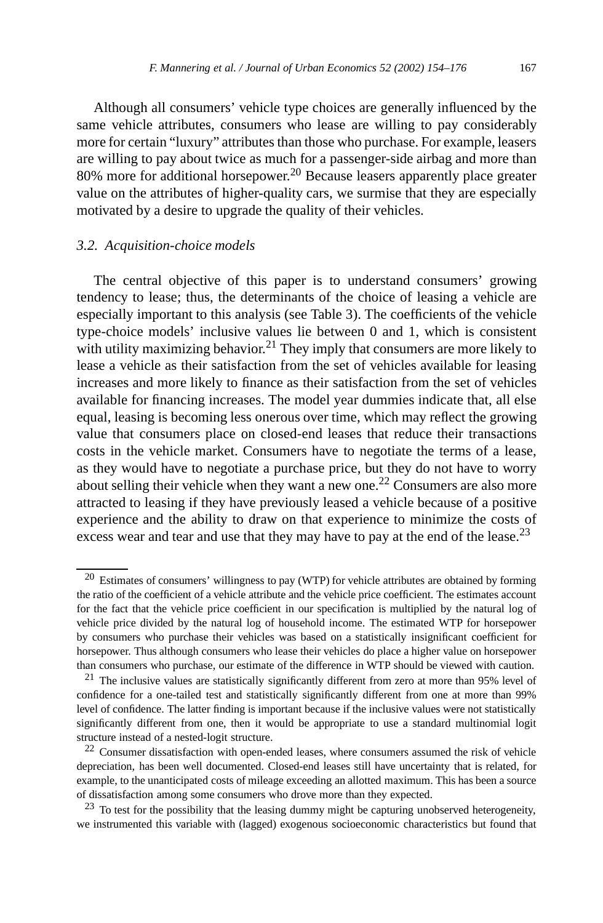Although all consumers' vehicle type choices are generally influenced by the same vehicle attributes, consumers who lease are willing to pay considerably more for certain "luxury" attributes than those who purchase. For example, leasers are willing to pay about twice as much for a passenger-side airbag and more than 80% more for additional horsepower.<sup>20</sup> Because leasers apparently place greater value on the attributes of higher-quality cars, we surmise that they are especially motivated by a desire to upgrade the quality of their vehicles.

#### *3.2. Acquisition-choice models*

The central objective of this paper is to understand consumers' growing tendency to lease; thus, the determinants of the choice of leasing a vehicle are especially important to this analysis (see Table 3). The coefficients of the vehicle type-choice models' inclusive values lie between 0 and 1, which is consistent with utility maximizing behavior.<sup>21</sup> They imply that consumers are more likely to lease a vehicle as their satisfaction from the set of vehicles available for leasing increases and more likely to finance as their satisfaction from the set of vehicles available for financing increases. The model year dummies indicate that, all else equal, leasing is becoming less onerous over time, which may reflect the growing value that consumers place on closed-end leases that reduce their transactions costs in the vehicle market. Consumers have to negotiate the terms of a lease, as they would have to negotiate a purchase price, but they do not have to worry about selling their vehicle when they want a new one.<sup>22</sup> Consumers are also more attracted to leasing if they have previously leased a vehicle because of a positive experience and the ability to draw on that experience to minimize the costs of excess wear and tear and use that they may have to pay at the end of the lease.<sup>23</sup>

<sup>&</sup>lt;sup>20</sup> Estimates of consumers' willingness to pay (WTP) for vehicle attributes are obtained by forming the ratio of the coefficient of a vehicle attribute and the vehicle price coefficient. The estimates account for the fact that the vehicle price coefficient in our specification is multiplied by the natural log of vehicle price divided by the natural log of household income. The estimated WTP for horsepower by consumers who purchase their vehicles was based on a statistically insignificant coefficient for horsepower. Thus although consumers who lease their vehicles do place a higher value on horsepower than consumers who purchase, our estimate of the difference in WTP should be viewed with caution.

 $21$  The inclusive values are statistically significantly different from zero at more than 95% level of confidence for a one-tailed test and statistically significantly different from one at more than 99% level of confidence. The latter finding is important because if the inclusive values were not statistically significantly different from one, then it would be appropriate to use a standard multinomial logit structure instead of a nested-logit structure.

<sup>&</sup>lt;sup>22</sup> Consumer dissatisfaction with open-ended leases, where consumers assumed the risk of vehicle depreciation, has been well documented. Closed-end leases still have uncertainty that is related, for example, to the unanticipated costs of mileage exceeding an allotted maximum. This has been a source of dissatisfaction among some consumers who drove more than they expected.

 $2<sup>23</sup>$  To test for the possibility that the leasing dummy might be capturing unobserved heterogeneity, we instrumented this variable with (lagged) exogenous socioeconomic characteristics but found that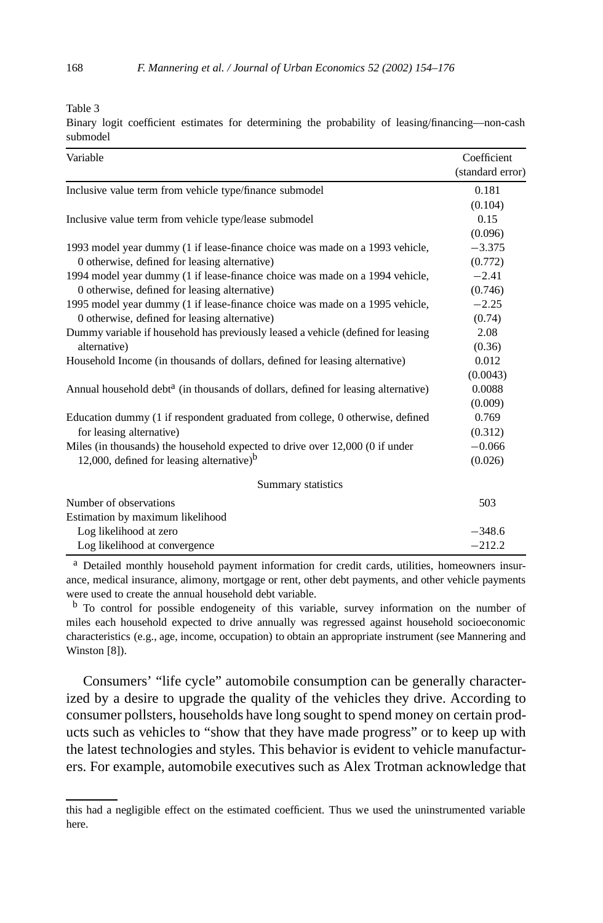Table 3

Binary logit coefficient estimates for determining the probability of leasing/financing—non-cash submodel

| Variable                                                                                      | Coefficient<br>(standard error) |
|-----------------------------------------------------------------------------------------------|---------------------------------|
| Inclusive value term from vehicle type/finance submodel                                       | 0.181                           |
|                                                                                               | (0.104)                         |
| Inclusive value term from vehicle type/lease submodel                                         | 0.15                            |
|                                                                                               | (0.096)                         |
| 1993 model year dummy (1 if lease-finance choice was made on a 1993 vehicle,                  | $-3.375$                        |
| 0 otherwise, defined for leasing alternative)                                                 | (0.772)                         |
| 1994 model year dummy (1 if lease-finance choice was made on a 1994 vehicle,                  | $-2.41$                         |
| 0 otherwise, defined for leasing alternative)                                                 | (0.746)                         |
| 1995 model year dummy (1 if lease-finance choice was made on a 1995 vehicle,                  | $-2.25$                         |
| 0 otherwise, defined for leasing alternative)                                                 | (0.74)                          |
| Dummy variable if household has previously leased a vehicle (defined for leasing              | 2.08                            |
| alternative)                                                                                  | (0.36)                          |
| Household Income (in thousands of dollars, defined for leasing alternative)                   | 0.012                           |
|                                                                                               | (0.0043)                        |
| Annual household debt <sup>a</sup> (in thousands of dollars, defined for leasing alternative) | 0.0088                          |
|                                                                                               | (0.009)                         |
| Education dummy (1 if respondent graduated from college, 0 otherwise, defined                 | 0.769                           |
| for leasing alternative)                                                                      | (0.312)                         |
| Miles (in thousands) the household expected to drive over 12,000 (0 if under                  | $-0.066$                        |
| 12,000, defined for leasing alternative) $b$                                                  | (0.026)                         |
| Summary statistics                                                                            |                                 |
| Number of observations                                                                        | 503                             |
| Estimation by maximum likelihood                                                              |                                 |
| Log likelihood at zero                                                                        | $-348.6$                        |
| Log likelihood at convergence                                                                 | $-212.2$                        |

<sup>a</sup> Detailed monthly household payment information for credit cards, utilities, homeowners insurance, medical insurance, alimony, mortgage or rent, other debt payments, and other vehicle payments were used to create the annual household debt variable.

<sup>b</sup> To control for possible endogeneity of this variable, survey information on the number of miles each household expected to drive annually was regressed against household socioeconomic characteristics (e.g., age, income, occupation) to obtain an appropriate instrument (see Mannering and Winston [8]).

Consumers' "life cycle" automobile consumption can be generally characterized by a desire to upgrade the quality of the vehicles they drive. According to consumer pollsters, households have long sought to spend money on certain products such as vehicles to "show that they have made progress" or to keep up with the latest technologies and styles. This behavior is evident to vehicle manufacturers. For example, automobile executives such as Alex Trotman acknowledge that

this had a negligible effect on the estimated coefficient. Thus we used the uninstrumented variable here.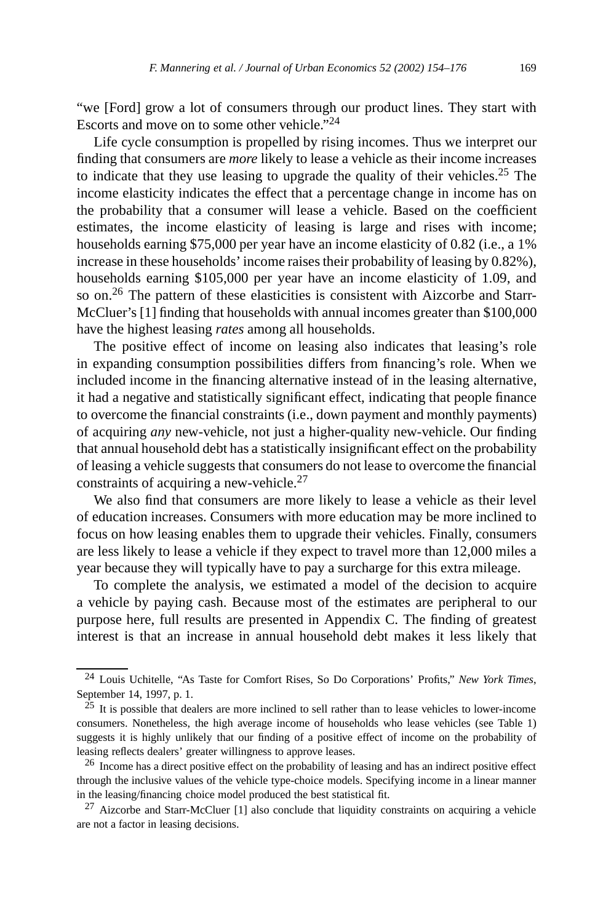"we [Ford] grow a lot of consumers through our product lines. They start with Escorts and move on to some other vehicle."24

Life cycle consumption is propelled by rising incomes. Thus we interpret our finding that consumers are *more* likely to lease a vehicle as their income increases to indicate that they use leasing to upgrade the quality of their vehicles.<sup>25</sup> The income elasticity indicates the effect that a percentage change in income has on the probability that a consumer will lease a vehicle. Based on the coefficient estimates, the income elasticity of leasing is large and rises with income; households earning \$75,000 per year have an income elasticity of 0.82 (i.e., a 1%) increase in these households' income raises their probability of leasing by 0.82%), households earning \$105,000 per year have an income elasticity of 1.09, and so on.<sup>26</sup> The pattern of these elasticities is consistent with Aizcorbe and Starr-McCluer's [1] finding that households with annual incomes greater than \$100,000 have the highest leasing *rates* among all households.

The positive effect of income on leasing also indicates that leasing's role in expanding consumption possibilities differs from financing's role. When we included income in the financing alternative instead of in the leasing alternative, it had a negative and statistically significant effect, indicating that people finance to overcome the financial constraints (i.e., down payment and monthly payments) of acquiring *any* new-vehicle, not just a higher-quality new-vehicle. Our finding that annual household debt has a statistically insignificant effect on the probability of leasing a vehicle suggests that consumers do not lease to overcome the financial constraints of acquiring a new-vehicle.<sup>27</sup>

We also find that consumers are more likely to lease a vehicle as their level of education increases. Consumers with more education may be more inclined to focus on how leasing enables them to upgrade their vehicles. Finally, consumers are less likely to lease a vehicle if they expect to travel more than 12,000 miles a year because they will typically have to pay a surcharge for this extra mileage.

To complete the analysis, we estimated a model of the decision to acquire a vehicle by paying cash. Because most of the estimates are peripheral to our purpose here, full results are presented in Appendix C. The finding of greatest interest is that an increase in annual household debt makes it less likely that

<sup>24</sup> Louis Uchitelle, "As Taste for Comfort Rises, So Do Corporations' Profits," *New York Times*, September 14, 1997, p. 1.

<sup>&</sup>lt;sup>25</sup> It is possible that dealers are more inclined to sell rather than to lease vehicles to lower-income consumers. Nonetheless, the high average income of households who lease vehicles (see Table 1) suggests it is highly unlikely that our finding of a positive effect of income on the probability of leasing reflects dealers' greater willingness to approve leases.

<sup>&</sup>lt;sup>26</sup> Income has a direct positive effect on the probability of leasing and has an indirect positive effect through the inclusive values of the vehicle type-choice models. Specifying income in a linear manner in the leasing/financing choice model produced the best statistical fit.

 $27$  Aizcorbe and Starr-McCluer [1] also conclude that liquidity constraints on acquiring a vehicle are not a factor in leasing decisions.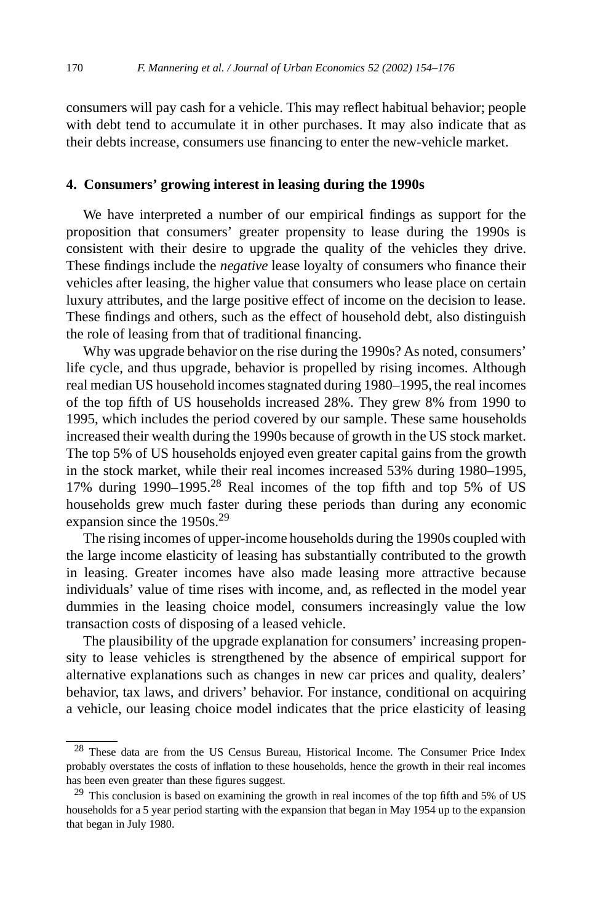consumers will pay cash for a vehicle. This may reflect habitual behavior; people with debt tend to accumulate it in other purchases. It may also indicate that as their debts increase, consumers use financing to enter the new-vehicle market.

#### **4. Consumers' growing interest in leasing during the 1990s**

We have interpreted a number of our empirical findings as support for the proposition that consumers' greater propensity to lease during the 1990s is consistent with their desire to upgrade the quality of the vehicles they drive. These findings include the *negative* lease loyalty of consumers who finance their vehicles after leasing, the higher value that consumers who lease place on certain luxury attributes, and the large positive effect of income on the decision to lease. These findings and others, such as the effect of household debt, also distinguish the role of leasing from that of traditional financing.

Why was upgrade behavior on the rise during the 1990s? As noted, consumers' life cycle, and thus upgrade, behavior is propelled by rising incomes. Although real median US household incomes stagnated during 1980–1995, the real incomes of the top fifth of US households increased 28%. They grew 8% from 1990 to 1995, which includes the period covered by our sample. These same households increased their wealth during the 1990s because of growth in the US stock market. The top 5% of US households enjoyed even greater capital gains from the growth in the stock market, while their real incomes increased 53% during 1980–1995, 17% during 1990–1995.<sup>28</sup> Real incomes of the top fifth and top 5% of US households grew much faster during these periods than during any economic expansion since the  $1950s<sup>29</sup>$ 

The rising incomes of upper-income households during the 1990s coupled with the large income elasticity of leasing has substantially contributed to the growth in leasing. Greater incomes have also made leasing more attractive because individuals' value of time rises with income, and, as reflected in the model year dummies in the leasing choice model, consumers increasingly value the low transaction costs of disposing of a leased vehicle.

The plausibility of the upgrade explanation for consumers' increasing propensity to lease vehicles is strengthened by the absence of empirical support for alternative explanations such as changes in new car prices and quality, dealers' behavior, tax laws, and drivers' behavior. For instance, conditional on acquiring a vehicle, our leasing choice model indicates that the price elasticity of leasing

<sup>28</sup> These data are from the US Census Bureau, Historical Income. The Consumer Price Index probably overstates the costs of inflation to these households, hence the growth in their real incomes has been even greater than these figures suggest.

<sup>&</sup>lt;sup>29</sup> This conclusion is based on examining the growth in real incomes of the top fifth and 5% of US households for a 5 year period starting with the expansion that began in May 1954 up to the expansion that began in July 1980.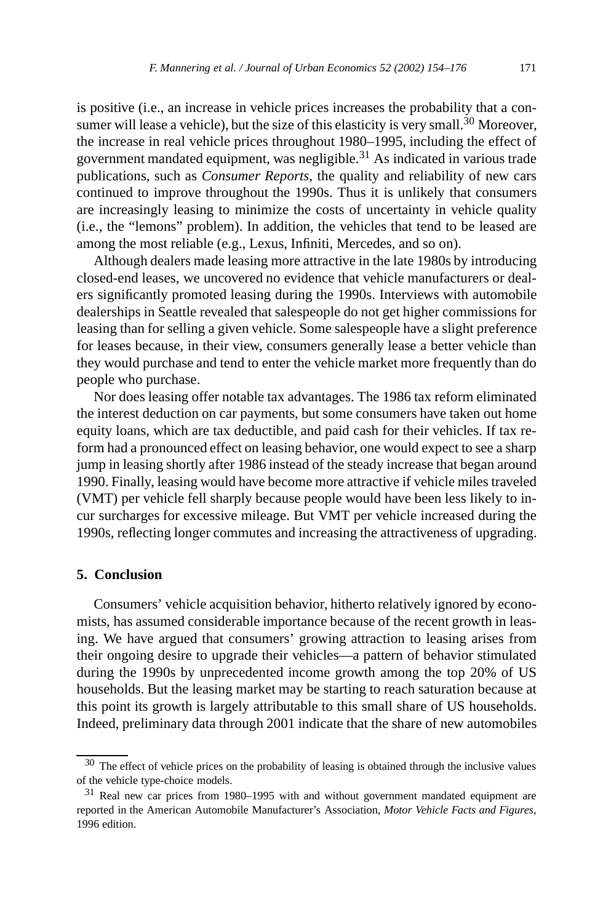is positive (i.e., an increase in vehicle prices increases the probability that a consumer will lease a vehicle), but the size of this elasticity is very small.<sup>30</sup> Moreover, the increase in real vehicle prices throughout 1980–1995, including the effect of government mandated equipment, was negligible. $31$  As indicated in various trade publications, such as *Consumer Reports*, the quality and reliability of new cars continued to improve throughout the 1990s. Thus it is unlikely that consumers are increasingly leasing to minimize the costs of uncertainty in vehicle quality (i.e., the "lemons" problem). In addition, the vehicles that tend to be leased are among the most reliable (e.g., Lexus, Infiniti, Mercedes, and so on).

Although dealers made leasing more attractive in the late 1980s by introducing closed-end leases, we uncovered no evidence that vehicle manufacturers or dealers significantly promoted leasing during the 1990s. Interviews with automobile dealerships in Seattle revealed that salespeople do not get higher commissions for leasing than for selling a given vehicle. Some salespeople have a slight preference for leases because, in their view, consumers generally lease a better vehicle than they would purchase and tend to enter the vehicle market more frequently than do people who purchase.

Nor does leasing offer notable tax advantages. The 1986 tax reform eliminated the interest deduction on car payments, but some consumers have taken out home equity loans, which are tax deductible, and paid cash for their vehicles. If tax reform had a pronounced effect on leasing behavior, one would expect to see a sharp jump in leasing shortly after 1986 instead of the steady increase that began around 1990. Finally, leasing would have become more attractive if vehicle miles traveled (VMT) per vehicle fell sharply because people would have been less likely to incur surcharges for excessive mileage. But VMT per vehicle increased during the 1990s, reflecting longer commutes and increasing the attractiveness of upgrading.

### **5. Conclusion**

Consumers' vehicle acquisition behavior, hitherto relatively ignored by economists, has assumed considerable importance because of the recent growth in leasing. We have argued that consumers' growing attraction to leasing arises from their ongoing desire to upgrade their vehicles—a pattern of behavior stimulated during the 1990s by unprecedented income growth among the top 20% of US households. But the leasing market may be starting to reach saturation because at this point its growth is largely attributable to this small share of US households. Indeed, preliminary data through 2001 indicate that the share of new automobiles

 $30$  The effect of vehicle prices on the probability of leasing is obtained through the inclusive values of the vehicle type-choice models.

<sup>&</sup>lt;sup>31</sup> Real new car prices from 1980–1995 with and without government mandated equipment are reported in the American Automobile Manufacturer's Association, *Motor Vehicle Facts and Figures*, 1996 edition.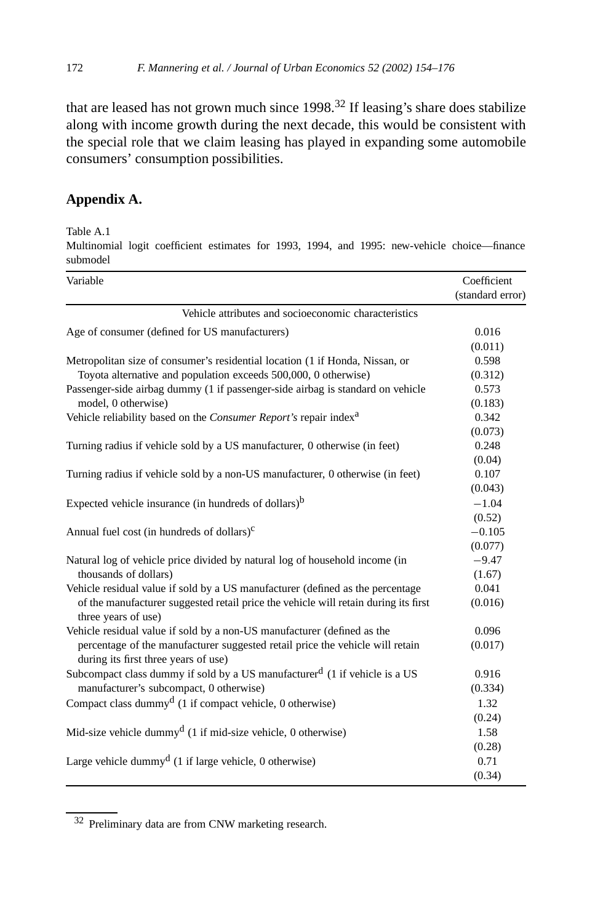that are leased has not grown much since 1998.<sup>32</sup> If leasing's share does stabilize along with income growth during the next decade, this would be consistent with the special role that we claim leasing has played in expanding some automobile consumers' consumption possibilities.

## **Appendix A.**

Table A.1

Multinomial logit coefficient estimates for 1993, 1994, and 1995: new-vehicle choice—finance submodel

| (standard error)<br>Vehicle attributes and socioeconomic characteristics<br>Age of consumer (defined for US manufacturers)<br>0.016<br>(0.011)<br>0.598<br>Toyota alternative and population exceeds 500,000, 0 otherwise)<br>(0.312)<br>0.573<br>model, 0 otherwise)<br>(0.183)<br>Vehicle reliability based on the Consumer Report's repair index <sup>a</sup><br>0.342<br>(0.073)<br>0.248<br>Turning radius if vehicle sold by a US manufacturer, 0 otherwise (in feet)<br>(0.04)<br>Turning radius if vehicle sold by a non-US manufacturer, 0 otherwise (in feet)<br>0.107<br>(0.043)<br>Expected vehicle insurance (in hundreds of dollars) <sup>b</sup><br>$-1.04$<br>(0.52)<br>Annual fuel cost (in hundreds of dollars) $\rm^c$<br>$-0.105$<br>(0.077)<br>$-9.47$<br>Natural log of vehicle price divided by natural log of household income (in<br>thousands of dollars)<br>(1.67)<br>Vehicle residual value if sold by a US manufacturer (defined as the percentage<br>0.041<br>of the manufacturer suggested retail price the vehicle will retain during its first<br>(0.016)<br>three years of use)<br>Vehicle residual value if sold by a non-US manufacturer (defined as the<br>0.096<br>percentage of the manufacturer suggested retail price the vehicle will retain<br>(0.017)<br>during its first three years of use)<br>Subcompact class dummy if sold by a US manufacturer <sup>d</sup> (1 if vehicle is a US<br>0.916<br>manufacturer's subcompact, 0 otherwise)<br>(0.334)<br>Compact class dummy <sup>d</sup> (1 if compact vehicle, 0 otherwise)<br>1.32<br>(0.24)<br>Mid-size vehicle dummy <sup>d</sup> (1 if mid-size vehicle, 0 otherwise)<br>1.58<br>(0.28)<br>Large vehicle dummy <sup>d</sup> (1 if large vehicle, 0 otherwise)<br>0.71 | Variable                                                                       | Coefficient |
|--------------------------------------------------------------------------------------------------------------------------------------------------------------------------------------------------------------------------------------------------------------------------------------------------------------------------------------------------------------------------------------------------------------------------------------------------------------------------------------------------------------------------------------------------------------------------------------------------------------------------------------------------------------------------------------------------------------------------------------------------------------------------------------------------------------------------------------------------------------------------------------------------------------------------------------------------------------------------------------------------------------------------------------------------------------------------------------------------------------------------------------------------------------------------------------------------------------------------------------------------------------------------------------------------------------------------------------------------------------------------------------------------------------------------------------------------------------------------------------------------------------------------------------------------------------------------------------------------------------------------------------------------------------------------------------------------------------------------------------------------------------------------|--------------------------------------------------------------------------------|-------------|
|                                                                                                                                                                                                                                                                                                                                                                                                                                                                                                                                                                                                                                                                                                                                                                                                                                                                                                                                                                                                                                                                                                                                                                                                                                                                                                                                                                                                                                                                                                                                                                                                                                                                                                                                                                          |                                                                                |             |
|                                                                                                                                                                                                                                                                                                                                                                                                                                                                                                                                                                                                                                                                                                                                                                                                                                                                                                                                                                                                                                                                                                                                                                                                                                                                                                                                                                                                                                                                                                                                                                                                                                                                                                                                                                          |                                                                                |             |
|                                                                                                                                                                                                                                                                                                                                                                                                                                                                                                                                                                                                                                                                                                                                                                                                                                                                                                                                                                                                                                                                                                                                                                                                                                                                                                                                                                                                                                                                                                                                                                                                                                                                                                                                                                          |                                                                                |             |
|                                                                                                                                                                                                                                                                                                                                                                                                                                                                                                                                                                                                                                                                                                                                                                                                                                                                                                                                                                                                                                                                                                                                                                                                                                                                                                                                                                                                                                                                                                                                                                                                                                                                                                                                                                          |                                                                                |             |
|                                                                                                                                                                                                                                                                                                                                                                                                                                                                                                                                                                                                                                                                                                                                                                                                                                                                                                                                                                                                                                                                                                                                                                                                                                                                                                                                                                                                                                                                                                                                                                                                                                                                                                                                                                          | Metropolitan size of consumer's residential location (1 if Honda, Nissan, or   |             |
|                                                                                                                                                                                                                                                                                                                                                                                                                                                                                                                                                                                                                                                                                                                                                                                                                                                                                                                                                                                                                                                                                                                                                                                                                                                                                                                                                                                                                                                                                                                                                                                                                                                                                                                                                                          |                                                                                |             |
|                                                                                                                                                                                                                                                                                                                                                                                                                                                                                                                                                                                                                                                                                                                                                                                                                                                                                                                                                                                                                                                                                                                                                                                                                                                                                                                                                                                                                                                                                                                                                                                                                                                                                                                                                                          | Passenger-side airbag dummy (1 if passenger-side airbag is standard on vehicle |             |
|                                                                                                                                                                                                                                                                                                                                                                                                                                                                                                                                                                                                                                                                                                                                                                                                                                                                                                                                                                                                                                                                                                                                                                                                                                                                                                                                                                                                                                                                                                                                                                                                                                                                                                                                                                          |                                                                                |             |
|                                                                                                                                                                                                                                                                                                                                                                                                                                                                                                                                                                                                                                                                                                                                                                                                                                                                                                                                                                                                                                                                                                                                                                                                                                                                                                                                                                                                                                                                                                                                                                                                                                                                                                                                                                          |                                                                                |             |
|                                                                                                                                                                                                                                                                                                                                                                                                                                                                                                                                                                                                                                                                                                                                                                                                                                                                                                                                                                                                                                                                                                                                                                                                                                                                                                                                                                                                                                                                                                                                                                                                                                                                                                                                                                          |                                                                                |             |
|                                                                                                                                                                                                                                                                                                                                                                                                                                                                                                                                                                                                                                                                                                                                                                                                                                                                                                                                                                                                                                                                                                                                                                                                                                                                                                                                                                                                                                                                                                                                                                                                                                                                                                                                                                          |                                                                                |             |
|                                                                                                                                                                                                                                                                                                                                                                                                                                                                                                                                                                                                                                                                                                                                                                                                                                                                                                                                                                                                                                                                                                                                                                                                                                                                                                                                                                                                                                                                                                                                                                                                                                                                                                                                                                          |                                                                                |             |
|                                                                                                                                                                                                                                                                                                                                                                                                                                                                                                                                                                                                                                                                                                                                                                                                                                                                                                                                                                                                                                                                                                                                                                                                                                                                                                                                                                                                                                                                                                                                                                                                                                                                                                                                                                          |                                                                                |             |
|                                                                                                                                                                                                                                                                                                                                                                                                                                                                                                                                                                                                                                                                                                                                                                                                                                                                                                                                                                                                                                                                                                                                                                                                                                                                                                                                                                                                                                                                                                                                                                                                                                                                                                                                                                          |                                                                                |             |
|                                                                                                                                                                                                                                                                                                                                                                                                                                                                                                                                                                                                                                                                                                                                                                                                                                                                                                                                                                                                                                                                                                                                                                                                                                                                                                                                                                                                                                                                                                                                                                                                                                                                                                                                                                          |                                                                                |             |
|                                                                                                                                                                                                                                                                                                                                                                                                                                                                                                                                                                                                                                                                                                                                                                                                                                                                                                                                                                                                                                                                                                                                                                                                                                                                                                                                                                                                                                                                                                                                                                                                                                                                                                                                                                          |                                                                                |             |
|                                                                                                                                                                                                                                                                                                                                                                                                                                                                                                                                                                                                                                                                                                                                                                                                                                                                                                                                                                                                                                                                                                                                                                                                                                                                                                                                                                                                                                                                                                                                                                                                                                                                                                                                                                          |                                                                                |             |
|                                                                                                                                                                                                                                                                                                                                                                                                                                                                                                                                                                                                                                                                                                                                                                                                                                                                                                                                                                                                                                                                                                                                                                                                                                                                                                                                                                                                                                                                                                                                                                                                                                                                                                                                                                          |                                                                                |             |
|                                                                                                                                                                                                                                                                                                                                                                                                                                                                                                                                                                                                                                                                                                                                                                                                                                                                                                                                                                                                                                                                                                                                                                                                                                                                                                                                                                                                                                                                                                                                                                                                                                                                                                                                                                          |                                                                                |             |
|                                                                                                                                                                                                                                                                                                                                                                                                                                                                                                                                                                                                                                                                                                                                                                                                                                                                                                                                                                                                                                                                                                                                                                                                                                                                                                                                                                                                                                                                                                                                                                                                                                                                                                                                                                          |                                                                                |             |
|                                                                                                                                                                                                                                                                                                                                                                                                                                                                                                                                                                                                                                                                                                                                                                                                                                                                                                                                                                                                                                                                                                                                                                                                                                                                                                                                                                                                                                                                                                                                                                                                                                                                                                                                                                          |                                                                                |             |
|                                                                                                                                                                                                                                                                                                                                                                                                                                                                                                                                                                                                                                                                                                                                                                                                                                                                                                                                                                                                                                                                                                                                                                                                                                                                                                                                                                                                                                                                                                                                                                                                                                                                                                                                                                          |                                                                                |             |
|                                                                                                                                                                                                                                                                                                                                                                                                                                                                                                                                                                                                                                                                                                                                                                                                                                                                                                                                                                                                                                                                                                                                                                                                                                                                                                                                                                                                                                                                                                                                                                                                                                                                                                                                                                          |                                                                                |             |
|                                                                                                                                                                                                                                                                                                                                                                                                                                                                                                                                                                                                                                                                                                                                                                                                                                                                                                                                                                                                                                                                                                                                                                                                                                                                                                                                                                                                                                                                                                                                                                                                                                                                                                                                                                          |                                                                                |             |
|                                                                                                                                                                                                                                                                                                                                                                                                                                                                                                                                                                                                                                                                                                                                                                                                                                                                                                                                                                                                                                                                                                                                                                                                                                                                                                                                                                                                                                                                                                                                                                                                                                                                                                                                                                          |                                                                                |             |
|                                                                                                                                                                                                                                                                                                                                                                                                                                                                                                                                                                                                                                                                                                                                                                                                                                                                                                                                                                                                                                                                                                                                                                                                                                                                                                                                                                                                                                                                                                                                                                                                                                                                                                                                                                          |                                                                                |             |
|                                                                                                                                                                                                                                                                                                                                                                                                                                                                                                                                                                                                                                                                                                                                                                                                                                                                                                                                                                                                                                                                                                                                                                                                                                                                                                                                                                                                                                                                                                                                                                                                                                                                                                                                                                          |                                                                                |             |
|                                                                                                                                                                                                                                                                                                                                                                                                                                                                                                                                                                                                                                                                                                                                                                                                                                                                                                                                                                                                                                                                                                                                                                                                                                                                                                                                                                                                                                                                                                                                                                                                                                                                                                                                                                          |                                                                                |             |
|                                                                                                                                                                                                                                                                                                                                                                                                                                                                                                                                                                                                                                                                                                                                                                                                                                                                                                                                                                                                                                                                                                                                                                                                                                                                                                                                                                                                                                                                                                                                                                                                                                                                                                                                                                          |                                                                                |             |
|                                                                                                                                                                                                                                                                                                                                                                                                                                                                                                                                                                                                                                                                                                                                                                                                                                                                                                                                                                                                                                                                                                                                                                                                                                                                                                                                                                                                                                                                                                                                                                                                                                                                                                                                                                          |                                                                                |             |
|                                                                                                                                                                                                                                                                                                                                                                                                                                                                                                                                                                                                                                                                                                                                                                                                                                                                                                                                                                                                                                                                                                                                                                                                                                                                                                                                                                                                                                                                                                                                                                                                                                                                                                                                                                          |                                                                                |             |
|                                                                                                                                                                                                                                                                                                                                                                                                                                                                                                                                                                                                                                                                                                                                                                                                                                                                                                                                                                                                                                                                                                                                                                                                                                                                                                                                                                                                                                                                                                                                                                                                                                                                                                                                                                          |                                                                                |             |
|                                                                                                                                                                                                                                                                                                                                                                                                                                                                                                                                                                                                                                                                                                                                                                                                                                                                                                                                                                                                                                                                                                                                                                                                                                                                                                                                                                                                                                                                                                                                                                                                                                                                                                                                                                          |                                                                                |             |
|                                                                                                                                                                                                                                                                                                                                                                                                                                                                                                                                                                                                                                                                                                                                                                                                                                                                                                                                                                                                                                                                                                                                                                                                                                                                                                                                                                                                                                                                                                                                                                                                                                                                                                                                                                          |                                                                                | (0.34)      |

<sup>&</sup>lt;sup>32</sup> Preliminary data are from CNW marketing research.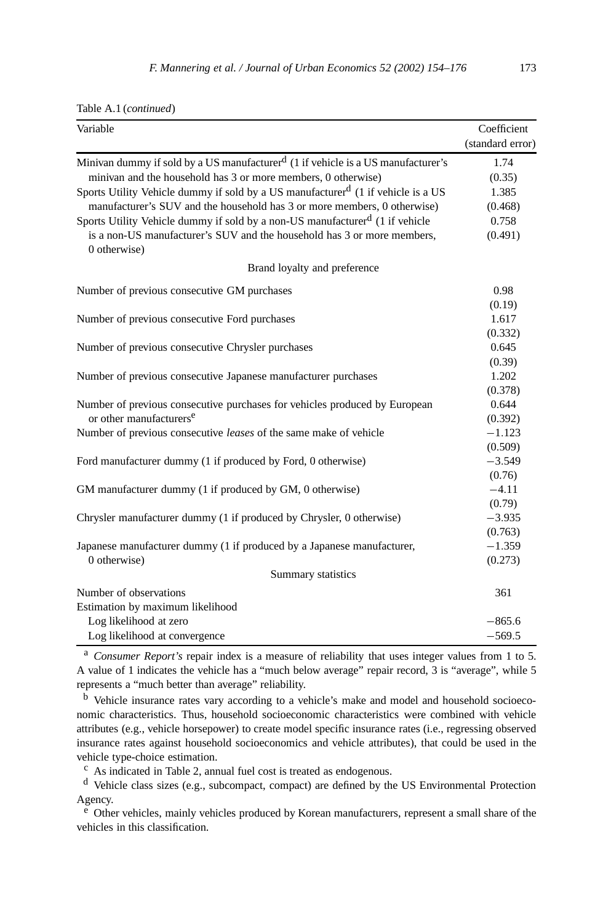|  | Table A.1 (continued) |
|--|-----------------------|
|--|-----------------------|

| Variable                                                                                     | Coefficient<br>(standard error) |
|----------------------------------------------------------------------------------------------|---------------------------------|
|                                                                                              |                                 |
| Minivan dummy if sold by a US manufacturer <sup>d</sup> (1 if vehicle is a US manufacturer's | 1.74                            |
| minivan and the household has 3 or more members, 0 otherwise)                                | (0.35)                          |
| Sports Utility Vehicle dummy if sold by a US manufacturer <sup>d</sup> (1 if vehicle is a US | 1.385                           |
| manufacturer's SUV and the household has 3 or more members, 0 otherwise)                     | (0.468)                         |
| Sports Utility Vehicle dummy if sold by a non-US manufacturer <sup>d</sup> (1 if vehicle     | 0.758                           |
| is a non-US manufacturer's SUV and the household has 3 or more members,<br>0 otherwise)      | (0.491)                         |
| Brand loyalty and preference                                                                 |                                 |
| Number of previous consecutive GM purchases                                                  | 0.98                            |
|                                                                                              | (0.19)                          |
| Number of previous consecutive Ford purchases                                                | 1.617                           |
|                                                                                              | (0.332)                         |
| Number of previous consecutive Chrysler purchases                                            | 0.645                           |
|                                                                                              | (0.39)                          |
| Number of previous consecutive Japanese manufacturer purchases                               | 1.202                           |
|                                                                                              | (0.378)                         |
| Number of previous consecutive purchases for vehicles produced by European                   | 0.644                           |
| or other manufacturers <sup>e</sup>                                                          | (0.392)                         |
| Number of previous consecutive leases of the same make of vehicle                            | $-1.123$                        |
|                                                                                              | (0.509)                         |
| Ford manufacturer dummy (1 if produced by Ford, 0 otherwise)                                 | $-3.549$                        |
|                                                                                              | (0.76)                          |
| GM manufacturer dummy (1 if produced by GM, 0 otherwise)                                     | $-4.11$                         |
|                                                                                              | (0.79)                          |
| Chrysler manufacturer dummy (1 if produced by Chrysler, 0 otherwise)                         | $-3.935$                        |
|                                                                                              | (0.763)                         |
| Japanese manufacturer dummy (1 if produced by a Japanese manufacturer,                       | $-1.359$                        |
| 0 otherwise)                                                                                 | (0.273)                         |
| Summary statistics                                                                           |                                 |
| Number of observations                                                                       | 361                             |
| Estimation by maximum likelihood                                                             |                                 |
| Log likelihood at zero                                                                       | $-865.6$                        |
| Log likelihood at convergence                                                                | $-569.5$                        |

<sup>a</sup> *Consumer Report's* repair index is a measure of reliability that uses integer values from 1 to 5. A value of 1 indicates the vehicle has a "much below average" repair record, 3 is "average", while 5 represents a "much better than average" reliability.

<sup>b</sup> Vehicle insurance rates vary according to a vehicle's make and model and household socioeconomic characteristics. Thus, household socioeconomic characteristics were combined with vehicle attributes (e.g., vehicle horsepower) to create model specific insurance rates (i.e., regressing observed insurance rates against household socioeconomics and vehicle attributes), that could be used in the vehicle type-choice estimation.

 $\alpha$  As indicated in Table 2, annual fuel cost is treated as endogenous.

<sup>d</sup> Vehicle class sizes (e.g., subcompact, compact) are defined by the US Environmental Protection Agency.

<sup>e</sup> Other vehicles, mainly vehicles produced by Korean manufacturers, represent a small share of the vehicles in this classification.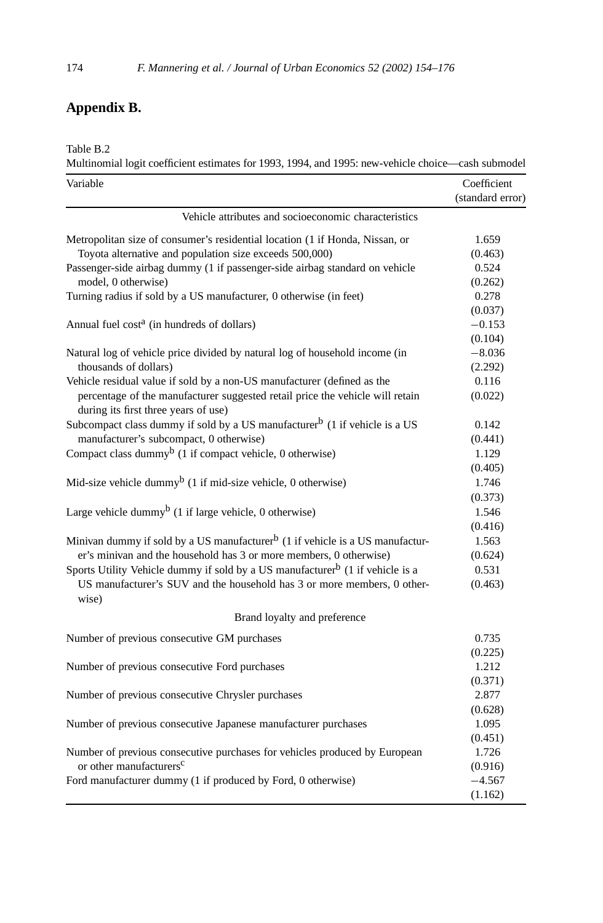# **Appendix B.**

Table B.2

Multinomial logit coefficient estimates for 1993, 1994, and 1995: new-vehicle choice—cash submodel

| Variable                                                                                                              | Coefficient<br>(standard error) |
|-----------------------------------------------------------------------------------------------------------------------|---------------------------------|
| Vehicle attributes and socioeconomic characteristics                                                                  |                                 |
| Metropolitan size of consumer's residential location (1 if Honda, Nissan, or                                          | 1.659                           |
| Toyota alternative and population size exceeds 500,000)                                                               | (0.463)                         |
| Passenger-side airbag dummy (1 if passenger-side airbag standard on vehicle                                           | 0.524                           |
| model, 0 otherwise)                                                                                                   | (0.262)                         |
| Turning radius if sold by a US manufacturer, 0 otherwise (in feet)                                                    | 0.278                           |
|                                                                                                                       | (0.037)                         |
| Annual fuel cost <sup>a</sup> (in hundreds of dollars)                                                                | $-0.153$                        |
|                                                                                                                       | (0.104)                         |
| Natural log of vehicle price divided by natural log of household income (in                                           | $-8.036$                        |
| thousands of dollars)                                                                                                 | (2.292)                         |
| Vehicle residual value if sold by a non-US manufacturer (defined as the                                               | 0.116                           |
| percentage of the manufacturer suggested retail price the vehicle will retain<br>during its first three years of use) | (0.022)                         |
| Subcompact class dummy if sold by a US manufacturer <sup>b</sup> (1 if vehicle is a US                                | 0.142                           |
| manufacturer's subcompact, 0 otherwise)                                                                               | (0.441)                         |
| Compact class dummy <sup>b</sup> (1 if compact vehicle, 0 otherwise)                                                  | 1.129                           |
|                                                                                                                       | (0.405)                         |
| Mid-size vehicle dummy <sup>b</sup> (1 if mid-size vehicle, 0 otherwise)                                              | 1.746                           |
|                                                                                                                       | (0.373)                         |
| Large vehicle dummy <sup>b</sup> (1 if large vehicle, 0 otherwise)                                                    | 1.546                           |
|                                                                                                                       | (0.416)                         |
| Minivan dummy if sold by a US manufacturer <sup>b</sup> (1 if vehicle is a US manufactur-                             | 1.563                           |
| er's minivan and the household has 3 or more members, 0 otherwise)                                                    | (0.624)                         |
| Sports Utility Vehicle dummy if sold by a US manufacturer <sup>b</sup> (1 if vehicle is a                             | 0.531                           |
| US manufacturer's SUV and the household has 3 or more members, 0 other-<br>wise)                                      | (0.463)                         |
| Brand loyalty and preference                                                                                          |                                 |
| Number of previous consecutive GM purchases                                                                           | 0.735                           |
|                                                                                                                       | (0.225)                         |
| Number of previous consecutive Ford purchases                                                                         | 1.212                           |
|                                                                                                                       | (0.371)                         |
| Number of previous consecutive Chrysler purchases                                                                     | 2.877                           |
|                                                                                                                       | (0.628)                         |
| Number of previous consecutive Japanese manufacturer purchases                                                        | 1.095                           |
|                                                                                                                       | (0.451)                         |
| Number of previous consecutive purchases for vehicles produced by European                                            | 1.726                           |
| or other manufacturers <sup>c</sup>                                                                                   | (0.916)                         |
| Ford manufacturer dummy (1 if produced by Ford, 0 otherwise)                                                          | $-4.567$                        |
|                                                                                                                       | (1.162)                         |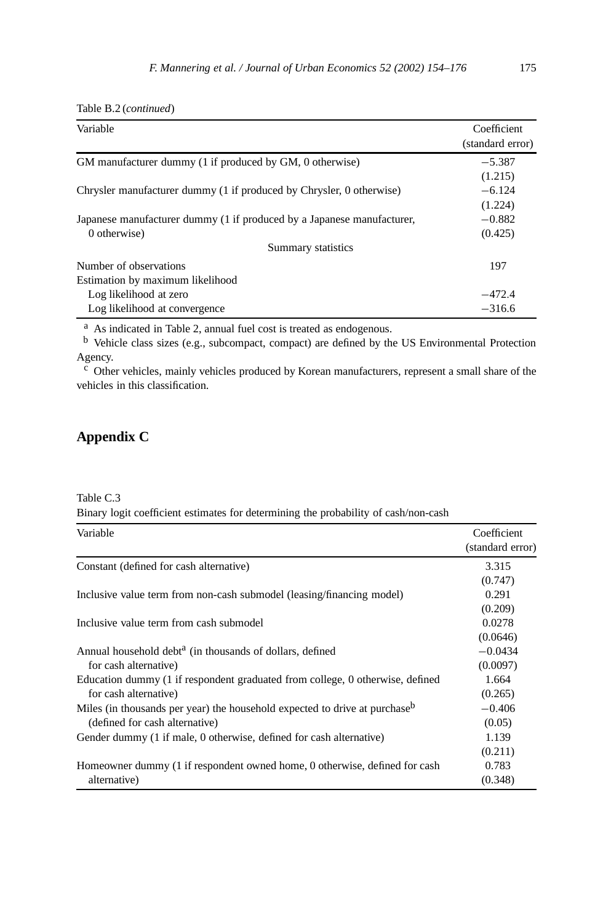Table B.2 (*continued*)

| Variable                                                               | Coefficient<br>(standard error) |
|------------------------------------------------------------------------|---------------------------------|
| GM manufacturer dummy (1 if produced by GM, 0 otherwise)               | $-5.387$                        |
|                                                                        | (1.215)                         |
| Chrysler manufacturer dummy (1 if produced by Chrysler, 0 otherwise)   | $-6.124$                        |
|                                                                        | (1.224)                         |
| Japanese manufacturer dummy (1 if produced by a Japanese manufacturer, | $-0.882$                        |
| 0 otherwise)                                                           | (0.425)                         |
| Summary statistics                                                     |                                 |
| Number of observations                                                 | 197                             |
| Estimation by maximum likelihood                                       |                                 |
| Log likelihood at zero                                                 | $-472.4$                        |
| Log likelihood at convergence                                          | $-316.6$                        |

<sup>a</sup> As indicated in Table 2, annual fuel cost is treated as endogenous.

<sup>b</sup> Vehicle class sizes (e.g., subcompact, compact) are defined by the US Environmental Protection Agency.

 $c$  Other vehicles, mainly vehicles produced by Korean manufacturers, represent a small share of the vehicles in this classification.

# **Appendix C**

| Table C.3                                                                           |  |  |
|-------------------------------------------------------------------------------------|--|--|
| Binary logit coefficient estimates for determining the probability of cash/non-cash |  |  |

| Variable                                                                               | Coefficient<br>(standard error) |
|----------------------------------------------------------------------------------------|---------------------------------|
| Constant (defined for cash alternative)                                                | 3.315                           |
|                                                                                        | (0.747)                         |
| Inclusive value term from non-cash submodel (leasing/financing model)                  | 0.291                           |
|                                                                                        | (0.209)                         |
| Inclusive value term from cash submodel                                                | 0.0278                          |
|                                                                                        | (0.0646)                        |
| Annual household debt <sup>a</sup> (in thousands of dollars, defined                   | $-0.0434$                       |
| for cash alternative)                                                                  | (0.0097)                        |
| Education dummy (1 if respondent graduated from college, 0 otherwise, defined          | 1.664                           |
| for cash alternative)                                                                  | (0.265)                         |
| Miles (in thousands per year) the household expected to drive at purchase <sup>b</sup> | $-0.406$                        |
| (defined for cash alternative)                                                         | (0.05)                          |
| Gender dummy (1 if male, 0 otherwise, defined for cash alternative)                    | 1.139                           |
|                                                                                        | (0.211)                         |
| Homeowner dummy (1 if respondent owned home, 0 otherwise, defined for cash             | 0.783                           |
| alternative)                                                                           | (0.348)                         |